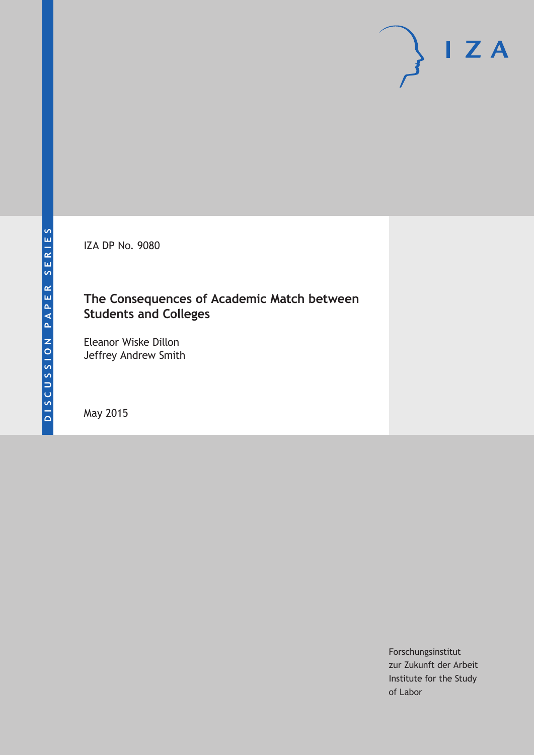IZA DP No. 9080

## **The Consequences of Academic Match between Students and Colleges**

Eleanor Wiske Dillon Jeffrey Andrew Smith

May 2015

Forschungsinstitut zur Zukunft der Arbeit Institute for the Study of Labor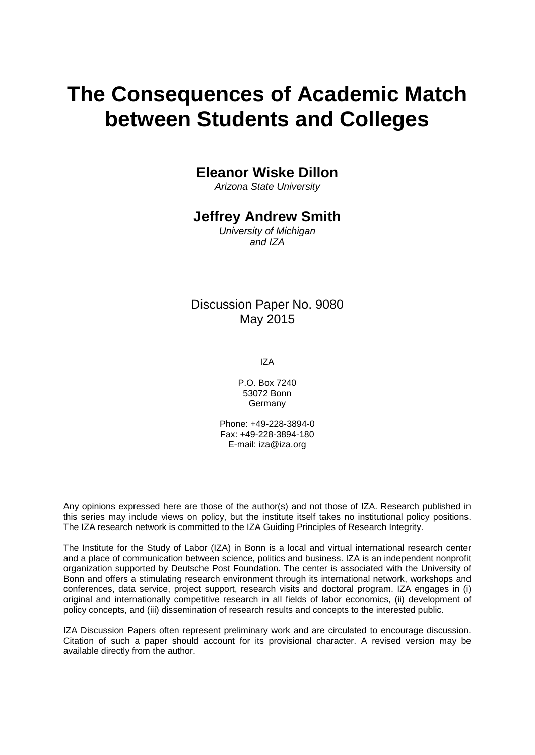# **The Consequences of Academic Match between Students and Colleges**

## **Eleanor Wiske Dillon**

*Arizona State University*

## **Jeffrey Andrew Smith**

*University of Michigan and IZA*

## Discussion Paper No. 9080 May 2015

IZA

P.O. Box 7240 53072 Bonn **Germany** 

Phone: +49-228-3894-0 Fax: +49-228-3894-180 E-mail: iza@iza.org

Any opinions expressed here are those of the author(s) and not those of IZA. Research published in this series may include views on policy, but the institute itself takes no institutional policy positions. The IZA research network is committed to the IZA Guiding Principles of Research Integrity.

The Institute for the Study of Labor (IZA) in Bonn is a local and virtual international research center and a place of communication between science, politics and business. IZA is an independent nonprofit organization supported by Deutsche Post Foundation. The center is associated with the University of Bonn and offers a stimulating research environment through its international network, workshops and conferences, data service, project support, research visits and doctoral program. IZA engages in (i) original and internationally competitive research in all fields of labor economics, (ii) development of policy concepts, and (iii) dissemination of research results and concepts to the interested public.

<span id="page-1-0"></span>IZA Discussion Papers often represent preliminary work and are circulated to encourage discussion. Citation of such a paper should account for its provisional character. A revised version may be available directly from the author.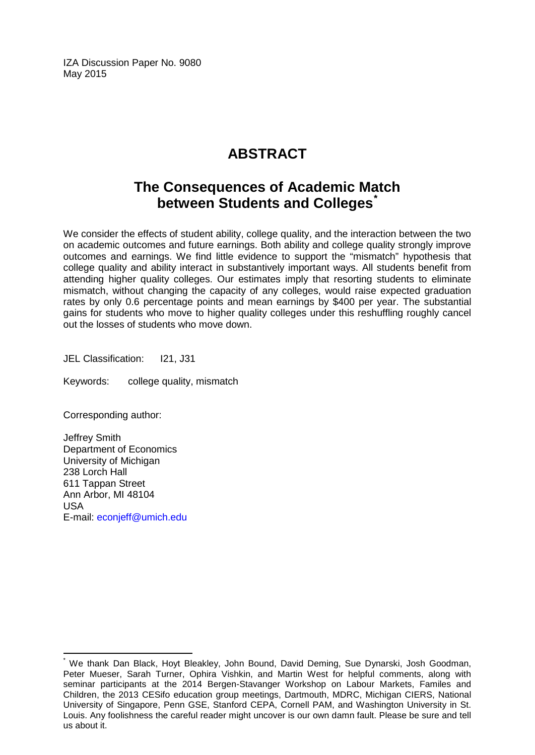IZA Discussion Paper No. 9080 May 2015

## **ABSTRACT**

## **The Consequences of Academic Match between Students and Colleges[\\*](#page-1-0)**

We consider the effects of student ability, college quality, and the interaction between the two on academic outcomes and future earnings. Both ability and college quality strongly improve outcomes and earnings. We find little evidence to support the "mismatch" hypothesis that college quality and ability interact in substantively important ways. All students benefit from attending higher quality colleges. Our estimates imply that resorting students to eliminate mismatch, without changing the capacity of any colleges, would raise expected graduation rates by only 0.6 percentage points and mean earnings by \$400 per year. The substantial gains for students who move to higher quality colleges under this reshuffling roughly cancel out the losses of students who move down.

JEL Classification: I21, J31

Keywords: college quality, mismatch

Corresponding author:

Jeffrey Smith Department of Economics University of Michigan 238 Lorch Hall 611 Tappan Street Ann Arbor, MI 48104 USA E-mail: [econjeff@umich.edu](mailto:econjeff@umich.edu)

\* We thank Dan Black, Hoyt Bleakley, John Bound, David Deming, Sue Dynarski, Josh Goodman, Peter Mueser, Sarah Turner, Ophira Vishkin, and Martin West for helpful comments, along with seminar participants at the 2014 Bergen-Stavanger Workshop on Labour Markets, Familes and Children, the 2013 CESifo education group meetings, Dartmouth, MDRC, Michigan CIERS, National University of Singapore, Penn GSE, Stanford CEPA, Cornell PAM, and Washington University in St. Louis. Any foolishness the careful reader might uncover is our own damn fault. Please be sure and tell us about it.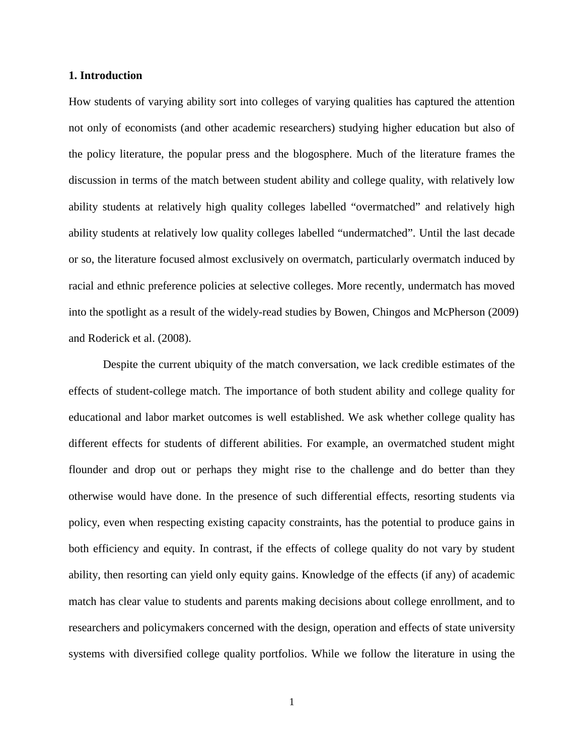#### **1. Introduction**

How students of varying ability sort into colleges of varying qualities has captured the attention not only of economists (and other academic researchers) studying higher education but also of the policy literature, the popular press and the blogosphere. Much of the literature frames the discussion in terms of the match between student ability and college quality, with relatively low ability students at relatively high quality colleges labelled "overmatched" and relatively high ability students at relatively low quality colleges labelled "undermatched". Until the last decade or so, the literature focused almost exclusively on overmatch, particularly overmatch induced by racial and ethnic preference policies at selective colleges. More recently, undermatch has moved into the spotlight as a result of the widely-read studies by Bowen, Chingos and McPherson (2009) and Roderick et al. (2008).

Despite the current ubiquity of the match conversation, we lack credible estimates of the effects of student-college match. The importance of both student ability and college quality for educational and labor market outcomes is well established. We ask whether college quality has different effects for students of different abilities. For example, an overmatched student might flounder and drop out or perhaps they might rise to the challenge and do better than they otherwise would have done. In the presence of such differential effects, resorting students via policy, even when respecting existing capacity constraints, has the potential to produce gains in both efficiency and equity. In contrast, if the effects of college quality do not vary by student ability, then resorting can yield only equity gains. Knowledge of the effects (if any) of academic match has clear value to students and parents making decisions about college enrollment, and to researchers and policymakers concerned with the design, operation and effects of state university systems with diversified college quality portfolios. While we follow the literature in using the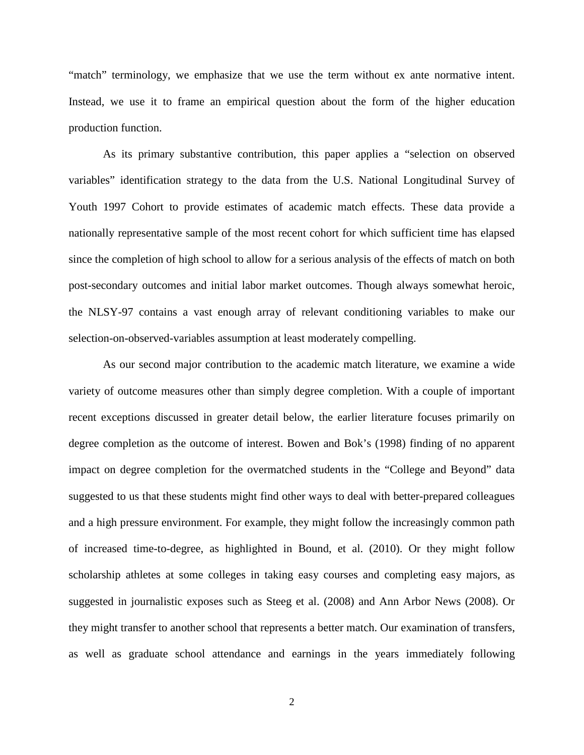"match" terminology, we emphasize that we use the term without ex ante normative intent. Instead, we use it to frame an empirical question about the form of the higher education production function.

As its primary substantive contribution, this paper applies a "selection on observed variables" identification strategy to the data from the U.S. National Longitudinal Survey of Youth 1997 Cohort to provide estimates of academic match effects. These data provide a nationally representative sample of the most recent cohort for which sufficient time has elapsed since the completion of high school to allow for a serious analysis of the effects of match on both post-secondary outcomes and initial labor market outcomes. Though always somewhat heroic, the NLSY-97 contains a vast enough array of relevant conditioning variables to make our selection-on-observed-variables assumption at least moderately compelling.

As our second major contribution to the academic match literature, we examine a wide variety of outcome measures other than simply degree completion. With a couple of important recent exceptions discussed in greater detail below, the earlier literature focuses primarily on degree completion as the outcome of interest. Bowen and Bok's (1998) finding of no apparent impact on degree completion for the overmatched students in the "College and Beyond" data suggested to us that these students might find other ways to deal with better-prepared colleagues and a high pressure environment. For example, they might follow the increasingly common path of increased time-to-degree, as highlighted in Bound, et al. (2010). Or they might follow scholarship athletes at some colleges in taking easy courses and completing easy majors, as suggested in journalistic exposes such as Steeg et al. (2008) and Ann Arbor News (2008). Or they might transfer to another school that represents a better match. Our examination of transfers, as well as graduate school attendance and earnings in the years immediately following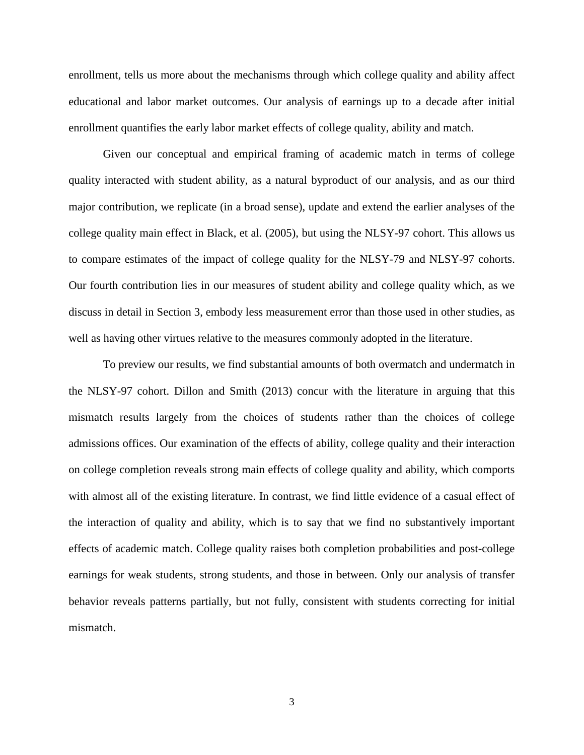enrollment, tells us more about the mechanisms through which college quality and ability affect educational and labor market outcomes. Our analysis of earnings up to a decade after initial enrollment quantifies the early labor market effects of college quality, ability and match.

Given our conceptual and empirical framing of academic match in terms of college quality interacted with student ability, as a natural byproduct of our analysis, and as our third major contribution, we replicate (in a broad sense), update and extend the earlier analyses of the college quality main effect in Black, et al. (2005), but using the NLSY-97 cohort. This allows us to compare estimates of the impact of college quality for the NLSY-79 and NLSY-97 cohorts. Our fourth contribution lies in our measures of student ability and college quality which, as we discuss in detail in Section 3, embody less measurement error than those used in other studies, as well as having other virtues relative to the measures commonly adopted in the literature.

To preview our results, we find substantial amounts of both overmatch and undermatch in the NLSY-97 cohort. Dillon and Smith (2013) concur with the literature in arguing that this mismatch results largely from the choices of students rather than the choices of college admissions offices. Our examination of the effects of ability, college quality and their interaction on college completion reveals strong main effects of college quality and ability, which comports with almost all of the existing literature. In contrast, we find little evidence of a casual effect of the interaction of quality and ability, which is to say that we find no substantively important effects of academic match. College quality raises both completion probabilities and post-college earnings for weak students, strong students, and those in between. Only our analysis of transfer behavior reveals patterns partially, but not fully, consistent with students correcting for initial mismatch.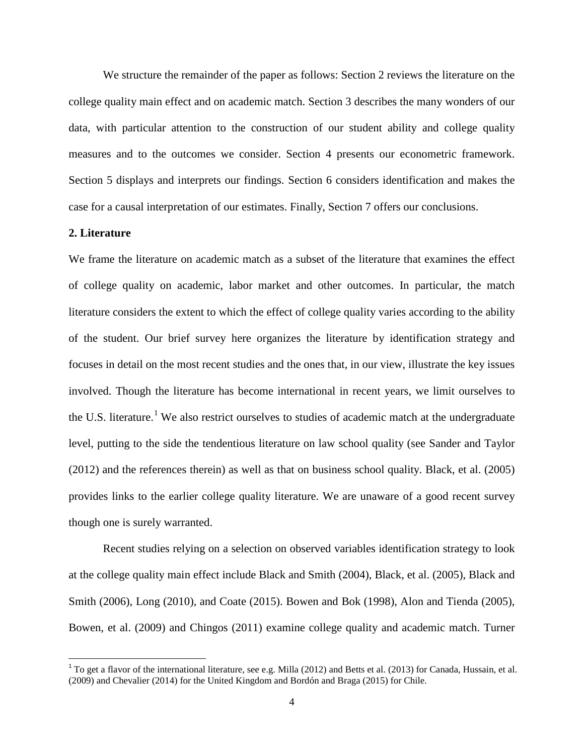We structure the remainder of the paper as follows: Section 2 reviews the literature on the college quality main effect and on academic match. Section 3 describes the many wonders of our data, with particular attention to the construction of our student ability and college quality measures and to the outcomes we consider. Section 4 presents our econometric framework. Section 5 displays and interprets our findings. Section 6 considers identification and makes the case for a causal interpretation of our estimates. Finally, Section 7 offers our conclusions.

#### **2. Literature**

We frame the literature on academic match as a subset of the literature that examines the effect of college quality on academic, labor market and other outcomes. In particular, the match literature considers the extent to which the effect of college quality varies according to the ability of the student. Our brief survey here organizes the literature by identification strategy and focuses in detail on the most recent studies and the ones that, in our view, illustrate the key issues involved. Though the literature has become international in recent years, we limit ourselves to the U.S. literature.<sup>1</sup> We also restrict ourselves to studies of academic match at the undergraduate level, putting to the side the tendentious literature on law school quality (see Sander and Taylor (2012) and the references therein) as well as that on business school quality. Black, et al. (2005) provides links to the earlier college quality literature. We are unaware of a good recent survey though one is surely warranted.

Recent studies relying on a selection on observed variables identification strategy to look at the college quality main effect include Black and Smith (2004), Black, et al. (2005), Black and Smith (2006), Long (2010), and Coate (2015). Bowen and Bok (1998), Alon and Tienda (2005), Bowen, et al. (2009) and Chingos (2011) examine college quality and academic match. Turner

<span id="page-6-0"></span> $1$  To get a flavor of the international literature, see e.g. Milla (2012) and Betts et al. (2013) for Canada, Hussain, et al. (2009) and Chevalier (2014) for the United Kingdom and Bordón and Braga (2015) for Chile.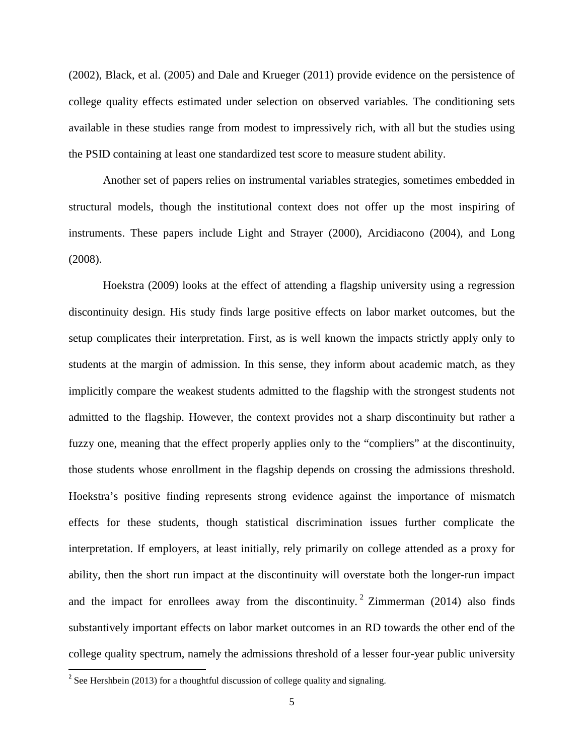(2002), Black, et al. (2005) and Dale and Krueger (2011) provide evidence on the persistence of college quality effects estimated under selection on observed variables. The conditioning sets available in these studies range from modest to impressively rich, with all but the studies using the PSID containing at least one standardized test score to measure student ability.

Another set of papers relies on instrumental variables strategies, sometimes embedded in structural models, though the institutional context does not offer up the most inspiring of instruments. These papers include Light and Strayer (2000), Arcidiacono (2004), and Long (2008).

Hoekstra (2009) looks at the effect of attending a flagship university using a regression discontinuity design. His study finds large positive effects on labor market outcomes, but the setup complicates their interpretation. First, as is well known the impacts strictly apply only to students at the margin of admission. In this sense, they inform about academic match, as they implicitly compare the weakest students admitted to the flagship with the strongest students not admitted to the flagship. However, the context provides not a sharp discontinuity but rather a fuzzy one, meaning that the effect properly applies only to the "compliers" at the discontinuity, those students whose enrollment in the flagship depends on crossing the admissions threshold. Hoekstra's positive finding represents strong evidence against the importance of mismatch effects for these students, though statistical discrimination issues further complicate the interpretation. If employers, at least initially, rely primarily on college attended as a proxy for ability, then the short run impact at the discontinuity will overstate both the longer-run impact and the impact for enrollees away from the discontinuity.<sup>[2](#page-6-0)</sup> Zimmerman (2014) also finds substantively important effects on labor market outcomes in an RD towards the other end of the college quality spectrum, namely the admissions threshold of a lesser four-year public university

<span id="page-7-0"></span><sup>&</sup>lt;sup>2</sup> See Hershbein (2013) for a thoughtful discussion of college quality and signaling.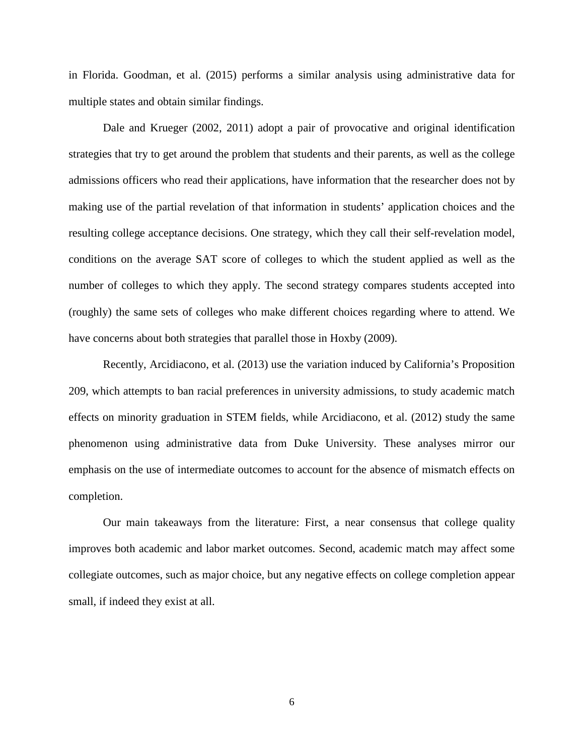in Florida. Goodman, et al. (2015) performs a similar analysis using administrative data for multiple states and obtain similar findings.

Dale and Krueger (2002, 2011) adopt a pair of provocative and original identification strategies that try to get around the problem that students and their parents, as well as the college admissions officers who read their applications, have information that the researcher does not by making use of the partial revelation of that information in students' application choices and the resulting college acceptance decisions. One strategy, which they call their self-revelation model, conditions on the average SAT score of colleges to which the student applied as well as the number of colleges to which they apply. The second strategy compares students accepted into (roughly) the same sets of colleges who make different choices regarding where to attend. We have concerns about both strategies that parallel those in Hoxby (2009).

Recently, Arcidiacono, et al. (2013) use the variation induced by California's Proposition 209, which attempts to ban racial preferences in university admissions, to study academic match effects on minority graduation in STEM fields, while Arcidiacono, et al. (2012) study the same phenomenon using administrative data from Duke University. These analyses mirror our emphasis on the use of intermediate outcomes to account for the absence of mismatch effects on completion.

Our main takeaways from the literature: First, a near consensus that college quality improves both academic and labor market outcomes. Second, academic match may affect some collegiate outcomes, such as major choice, but any negative effects on college completion appear small, if indeed they exist at all.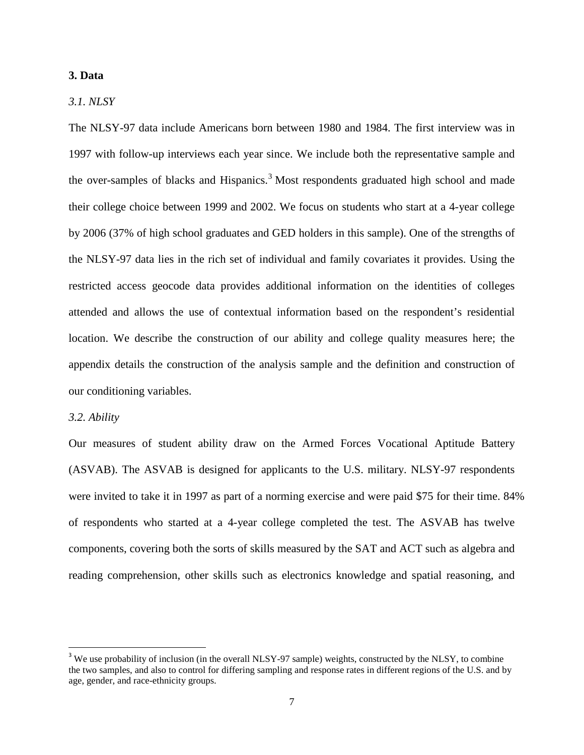#### **3. Data**

#### *3.1. NLSY*

The NLSY-97 data include Americans born between 1980 and 1984. The first interview was in 1997 with follow-up interviews each year since. We include both the representative sample and the over-samples of blacks and Hispanics.<sup>[3](#page-7-0)</sup> Most respondents graduated high school and made their college choice between 1999 and 2002. We focus on students who start at a 4-year college by 2006 (37% of high school graduates and GED holders in this sample). One of the strengths of the NLSY-97 data lies in the rich set of individual and family covariates it provides. Using the restricted access geocode data provides additional information on the identities of colleges attended and allows the use of contextual information based on the respondent's residential location. We describe the construction of our ability and college quality measures here; the appendix details the construction of the analysis sample and the definition and construction of our conditioning variables.

#### *3.2. Ability*

Our measures of student ability draw on the Armed Forces Vocational Aptitude Battery (ASVAB). The ASVAB is designed for applicants to the U.S. military. NLSY-97 respondents were invited to take it in 1997 as part of a norming exercise and were paid \$75 for their time. 84% of respondents who started at a 4-year college completed the test. The ASVAB has twelve components, covering both the sorts of skills measured by the SAT and ACT such as algebra and reading comprehension, other skills such as electronics knowledge and spatial reasoning, and

<span id="page-9-0"></span><sup>&</sup>lt;sup>3</sup> We use probability of inclusion (in the overall NLSY-97 sample) weights, constructed by the NLSY, to combine the two samples, and also to control for differing sampling and response rates in different regions of the U.S. and by age, gender, and race-ethnicity groups.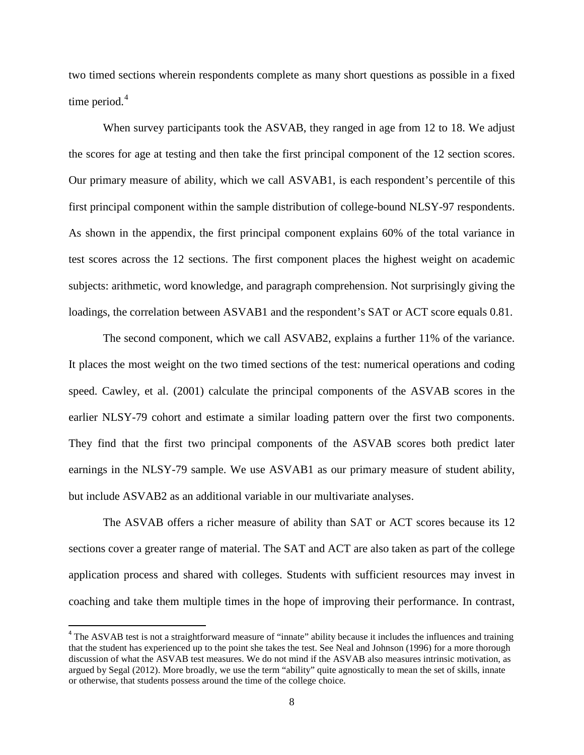two timed sections wherein respondents complete as many short questions as possible in a fixed time period. [4](#page-9-0)

When survey participants took the ASVAB, they ranged in age from 12 to 18. We adjust the scores for age at testing and then take the first principal component of the 12 section scores. Our primary measure of ability, which we call ASVAB1, is each respondent's percentile of this first principal component within the sample distribution of college-bound NLSY-97 respondents. As shown in the appendix, the first principal component explains 60% of the total variance in test scores across the 12 sections. The first component places the highest weight on academic subjects: arithmetic, word knowledge, and paragraph comprehension. Not surprisingly giving the loadings, the correlation between ASVAB1 and the respondent's SAT or ACT score equals 0.81.

The second component, which we call ASVAB2, explains a further 11% of the variance. It places the most weight on the two timed sections of the test: numerical operations and coding speed. Cawley, et al. (2001) calculate the principal components of the ASVAB scores in the earlier NLSY-79 cohort and estimate a similar loading pattern over the first two components. They find that the first two principal components of the ASVAB scores both predict later earnings in the NLSY-79 sample. We use ASVAB1 as our primary measure of student ability, but include ASVAB2 as an additional variable in our multivariate analyses.

The ASVAB offers a richer measure of ability than SAT or ACT scores because its 12 sections cover a greater range of material. The SAT and ACT are also taken as part of the college application process and shared with colleges. Students with sufficient resources may invest in coaching and take them multiple times in the hope of improving their performance. In contrast,

<span id="page-10-0"></span><sup>&</sup>lt;sup>4</sup> The ASVAB test is not a straightforward measure of "innate" ability because it includes the influences and training that the student has experienced up to the point she takes the test. See Neal and Johnson (1996) for a more thorough discussion of what the ASVAB test measures. We do not mind if the ASVAB also measures intrinsic motivation, as argued by Segal (2012). More broadly, we use the term "ability" quite agnostically to mean the set of skills, innate or otherwise, that students possess around the time of the college choice.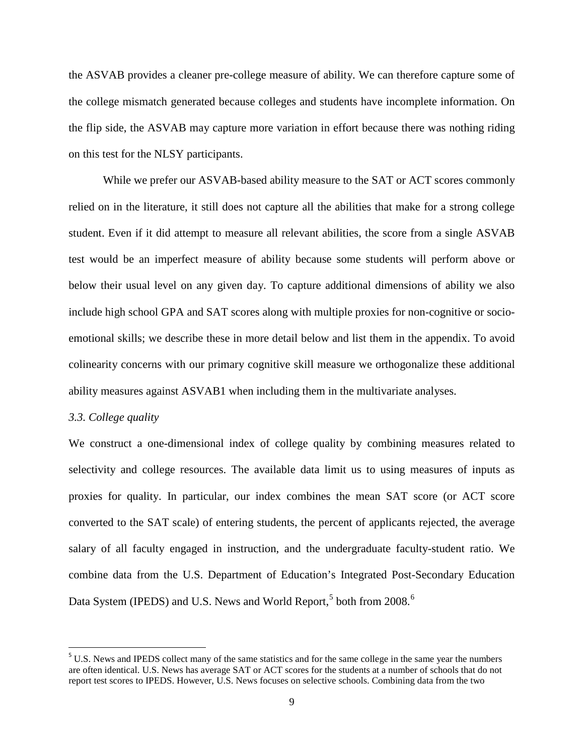the ASVAB provides a cleaner pre-college measure of ability. We can therefore capture some of the college mismatch generated because colleges and students have incomplete information. On the flip side, the ASVAB may capture more variation in effort because there was nothing riding on this test for the NLSY participants.

While we prefer our ASVAB-based ability measure to the SAT or ACT scores commonly relied on in the literature, it still does not capture all the abilities that make for a strong college student. Even if it did attempt to measure all relevant abilities, the score from a single ASVAB test would be an imperfect measure of ability because some students will perform above or below their usual level on any given day. To capture additional dimensions of ability we also include high school GPA and SAT scores along with multiple proxies for non-cognitive or socioemotional skills; we describe these in more detail below and list them in the appendix. To avoid colinearity concerns with our primary cognitive skill measure we orthogonalize these additional ability measures against ASVAB1 when including them in the multivariate analyses.

#### *3.3. College quality*

We construct a one-dimensional index of college quality by combining measures related to selectivity and college resources. The available data limit us to using measures of inputs as proxies for quality. In particular, our index combines the mean SAT score (or ACT score converted to the SAT scale) of entering students, the percent of applicants rejected, the average salary of all faculty engaged in instruction, and the undergraduate faculty-student ratio. We combine data from the U.S. Department of Education's Integrated Post-Secondary Education Data System (IPEDS) and U.S. News and World Report,<sup>[5](#page-10-0)</sup> both from 2008.<sup>[6](#page-11-0)</sup>

<span id="page-11-1"></span><span id="page-11-0"></span><sup>&</sup>lt;sup>5</sup> U.S. News and IPEDS collect many of the same statistics and for the same college in the same year the numbers are often identical. U.S. News has average SAT or ACT scores for the students at a number of schools that do not report test scores to IPEDS. However, U.S. News focuses on selective schools. Combining data from the two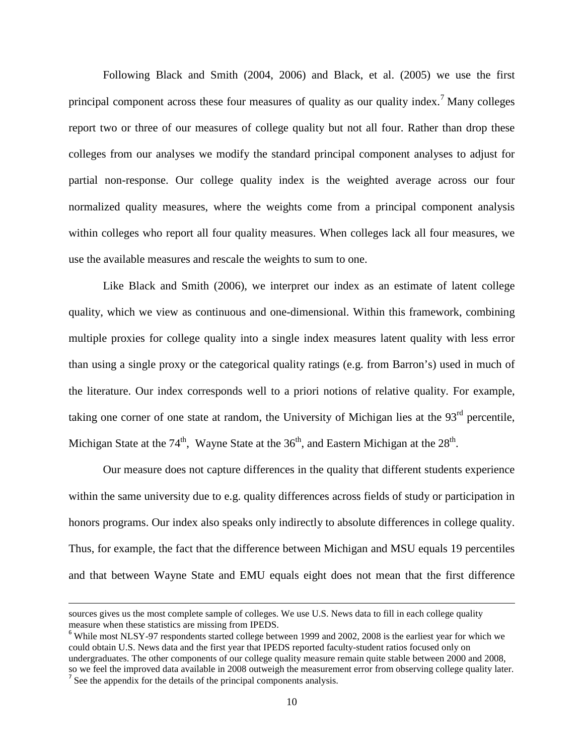Following Black and Smith (2004, 2006) and Black, et al. (2005) we use the first principal component across these four measures of quality as our quality index.<sup>[7](#page-11-1)</sup> Many colleges report two or three of our measures of college quality but not all four. Rather than drop these colleges from our analyses we modify the standard principal component analyses to adjust for partial non-response. Our college quality index is the weighted average across our four normalized quality measures, where the weights come from a principal component analysis within colleges who report all four quality measures. When colleges lack all four measures, we use the available measures and rescale the weights to sum to one.

Like Black and Smith (2006), we interpret our index as an estimate of latent college quality, which we view as continuous and one-dimensional. Within this framework, combining multiple proxies for college quality into a single index measures latent quality with less error than using a single proxy or the categorical quality ratings (e.g. from Barron's) used in much of the literature. Our index corresponds well to a priori notions of relative quality. For example, taking one corner of one state at random, the University of Michigan lies at the  $93<sup>rd</sup>$  percentile, Michigan State at the  $74<sup>th</sup>$ , Wayne State at the  $36<sup>th</sup>$ , and Eastern Michigan at the  $28<sup>th</sup>$ .

Our measure does not capture differences in the quality that different students experience within the same university due to e.g. quality differences across fields of study or participation in honors programs. Our index also speaks only indirectly to absolute differences in college quality. Thus, for example, the fact that the difference between Michigan and MSU equals 19 percentiles and that between Wayne State and EMU equals eight does not mean that the first difference

 $\overline{\phantom{a}}$ 

sources gives us the most complete sample of colleges. We use U.S. News data to fill in each college quality measure when these statistics are missing from IPEDS.<br><sup>6</sup> While most NLSY-97 respondents started college between 1999 and 2002, 2008 is the earliest year for which we

<span id="page-12-0"></span>could obtain U.S. News data and the first year that IPEDS reported faculty-student ratios focused only on undergraduates. The other components of our college quality measure remain quite stable between 2000 and 2008, so we feel the improved data available in 2008 outweigh the measurement error from observing college quality later.<br><sup>7</sup> See the appendix for the details of the principal components analysis.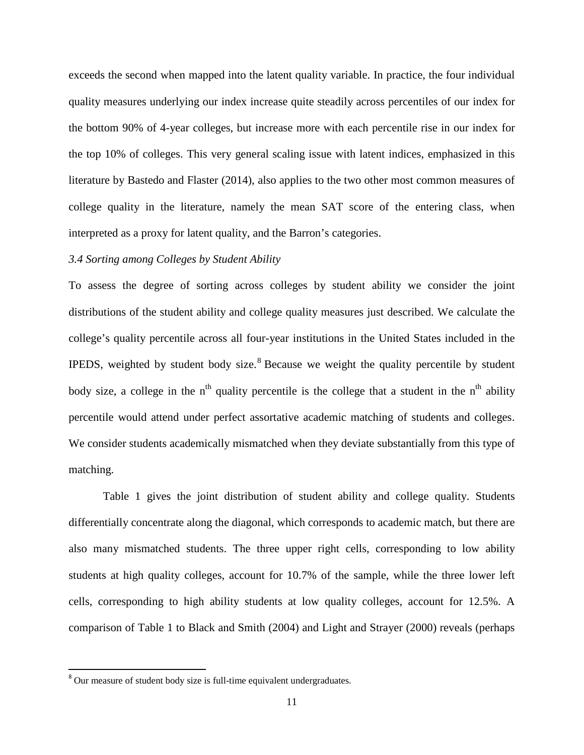exceeds the second when mapped into the latent quality variable. In practice, the four individual quality measures underlying our index increase quite steadily across percentiles of our index for the bottom 90% of 4-year colleges, but increase more with each percentile rise in our index for the top 10% of colleges. This very general scaling issue with latent indices, emphasized in this literature by Bastedo and Flaster (2014), also applies to the two other most common measures of college quality in the literature, namely the mean SAT score of the entering class, when interpreted as a proxy for latent quality, and the Barron's categories.

#### *3.4 Sorting among Colleges by Student Ability*

To assess the degree of sorting across colleges by student ability we consider the joint distributions of the student ability and college quality measures just described. We calculate the college's quality percentile across all four-year institutions in the United States included in the IPEDS, weighted by student body size.<sup>[8](#page-12-0)</sup> Because we weight the quality percentile by student body size, a college in the  $n<sup>th</sup>$  quality percentile is the college that a student in the  $n<sup>th</sup>$  ability percentile would attend under perfect assortative academic matching of students and colleges. We consider students academically mismatched when they deviate substantially from this type of matching.

Table 1 gives the joint distribution of student ability and college quality. Students differentially concentrate along the diagonal, which corresponds to academic match, but there are also many mismatched students. The three upper right cells, corresponding to low ability students at high quality colleges, account for 10.7% of the sample, while the three lower left cells, corresponding to high ability students at low quality colleges, account for 12.5%. A comparison of Table 1 to Black and Smith (2004) and Light and Strayer (2000) reveals (perhaps

<span id="page-13-0"></span><sup>&</sup>lt;sup>8</sup> Our measure of student body size is full-time equivalent undergraduates.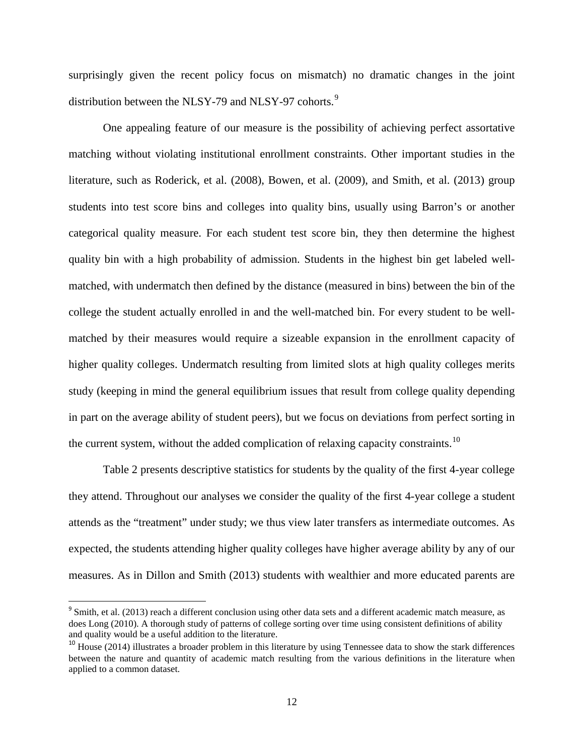surprisingly given the recent policy focus on mismatch) no dramatic changes in the joint distribution between the NLSY-7[9](#page-13-0) and NLSY-97 cohorts.<sup>9</sup>

One appealing feature of our measure is the possibility of achieving perfect assortative matching without violating institutional enrollment constraints. Other important studies in the literature, such as Roderick, et al. (2008), Bowen, et al. (2009), and Smith, et al. (2013) group students into test score bins and colleges into quality bins, usually using Barron's or another categorical quality measure. For each student test score bin, they then determine the highest quality bin with a high probability of admission. Students in the highest bin get labeled wellmatched, with undermatch then defined by the distance (measured in bins) between the bin of the college the student actually enrolled in and the well-matched bin. For every student to be wellmatched by their measures would require a sizeable expansion in the enrollment capacity of higher quality colleges. Undermatch resulting from limited slots at high quality colleges merits study (keeping in mind the general equilibrium issues that result from college quality depending in part on the average ability of student peers), but we focus on deviations from perfect sorting in the current system, without the added complication of relaxing capacity constraints.<sup>[10](#page-14-0)</sup>

Table 2 presents descriptive statistics for students by the quality of the first 4-year college they attend. Throughout our analyses we consider the quality of the first 4-year college a student attends as the "treatment" under study; we thus view later transfers as intermediate outcomes. As expected, the students attending higher quality colleges have higher average ability by any of our measures. As in Dillon and Smith (2013) students with wealthier and more educated parents are

<sup>&</sup>lt;sup>9</sup> Smith, et al. (2013) reach a different conclusion using other data sets and a different academic match measure, as does Long (2010). A thorough study of patterns of college sorting over time using consistent definitions of ability and quality would be a useful addition to the literature.

<span id="page-14-1"></span><span id="page-14-0"></span> $10$  House (2014) illustrates a broader problem in this literature by using Tennessee data to show the stark differences between the nature and quantity of academic match resulting from the various definitions in the literature when applied to a common dataset.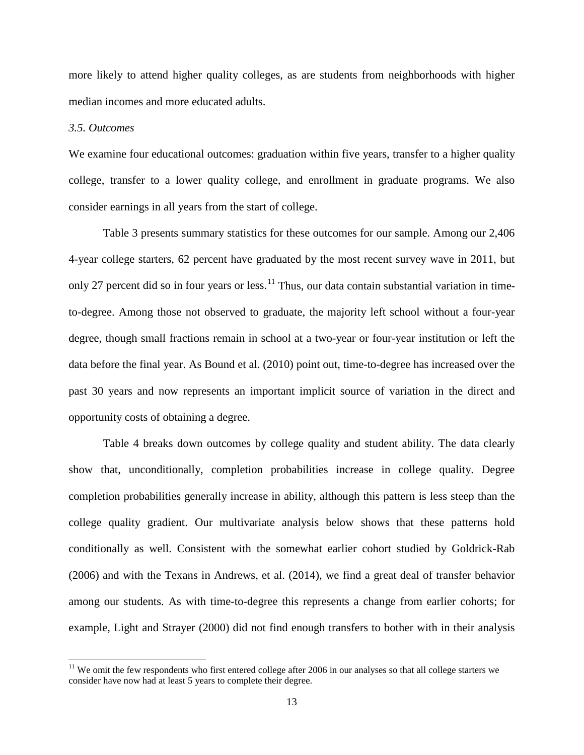more likely to attend higher quality colleges, as are students from neighborhoods with higher median incomes and more educated adults.

#### *3.5. Outcomes*

We examine four educational outcomes: graduation within five years, transfer to a higher quality college, transfer to a lower quality college, and enrollment in graduate programs. We also consider earnings in all years from the start of college.

Table 3 presents summary statistics for these outcomes for our sample. Among our 2,406 4-year college starters, 62 percent have graduated by the most recent survey wave in 2011, but only 27 percent did so in four years or less.<sup>[11](#page-14-1)</sup> Thus, our data contain substantial variation in timeto-degree. Among those not observed to graduate, the majority left school without a four-year degree, though small fractions remain in school at a two-year or four-year institution or left the data before the final year. As Bound et al. (2010) point out, time-to-degree has increased over the past 30 years and now represents an important implicit source of variation in the direct and opportunity costs of obtaining a degree.

Table 4 breaks down outcomes by college quality and student ability. The data clearly show that, unconditionally, completion probabilities increase in college quality. Degree completion probabilities generally increase in ability, although this pattern is less steep than the college quality gradient. Our multivariate analysis below shows that these patterns hold conditionally as well. Consistent with the somewhat earlier cohort studied by Goldrick-Rab (2006) and with the Texans in Andrews, et al. (2014), we find a great deal of transfer behavior among our students. As with time-to-degree this represents a change from earlier cohorts; for example, Light and Strayer (2000) did not find enough transfers to bother with in their analysis

<span id="page-15-0"></span> $11$  We omit the few respondents who first entered college after 2006 in our analyses so that all college starters we consider have now had at least 5 years to complete their degree.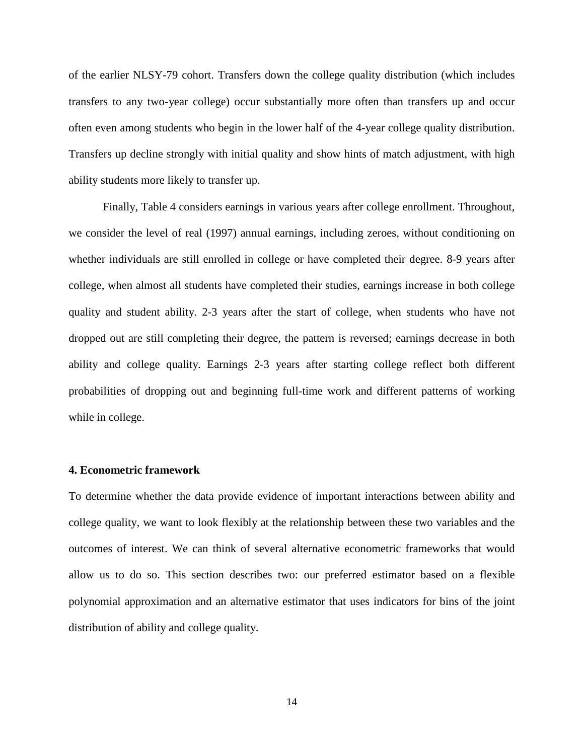of the earlier NLSY-79 cohort. Transfers down the college quality distribution (which includes transfers to any two-year college) occur substantially more often than transfers up and occur often even among students who begin in the lower half of the 4-year college quality distribution. Transfers up decline strongly with initial quality and show hints of match adjustment, with high ability students more likely to transfer up.

Finally, Table 4 considers earnings in various years after college enrollment. Throughout, we consider the level of real (1997) annual earnings, including zeroes, without conditioning on whether individuals are still enrolled in college or have completed their degree. 8-9 years after college, when almost all students have completed their studies, earnings increase in both college quality and student ability. 2-3 years after the start of college, when students who have not dropped out are still completing their degree, the pattern is reversed; earnings decrease in both ability and college quality. Earnings 2-3 years after starting college reflect both different probabilities of dropping out and beginning full-time work and different patterns of working while in college.

#### **4. Econometric framework**

To determine whether the data provide evidence of important interactions between ability and college quality, we want to look flexibly at the relationship between these two variables and the outcomes of interest. We can think of several alternative econometric frameworks that would allow us to do so. This section describes two: our preferred estimator based on a flexible polynomial approximation and an alternative estimator that uses indicators for bins of the joint distribution of ability and college quality.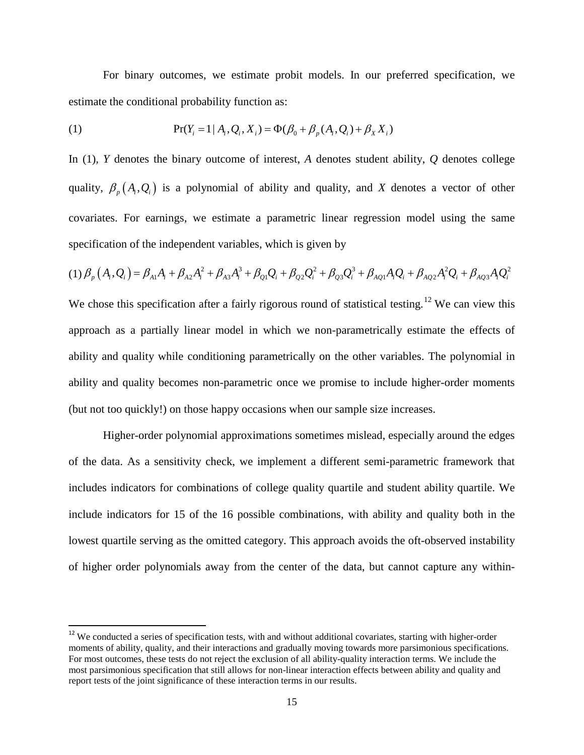For binary outcomes, we estimate probit models. In our preferred specification, we estimate the conditional probability function as:

(1) 
$$
Pr(Y_i = 1 | A_i, Q_i, X_i) = \Phi(\beta_0 + \beta_p(A_i, Q_i) + \beta_x X_i)
$$

In (1), *Y* denotes the binary outcome of interest, *A* denotes student ability, *Q* denotes college quality,  $\beta_n(A_i, Q_i)$  is a polynomial of ability and quality, and *X* denotes a vector of other covariates. For earnings, we estimate a parametric linear regression model using the same specification of the independent variables, which is given by

$$
(1) \beta_{p} (A_{i}, Q_{i}) = \beta_{A1} A_{i} + \beta_{A2} A_{i}^{2} + \beta_{A3} A_{i}^{3} + \beta_{Q1} Q_{i} + \beta_{Q2} Q_{i}^{2} + \beta_{Q3} Q_{i}^{3} + \beta_{AQ1} A_{i} Q_{i} + \beta_{AQ2} A_{i}^{2} Q_{i} + \beta_{AQ3} A_{i} Q_{i}^{2}
$$

We chose this specification after a fairly rigorous round of statistical testing.<sup>[12](#page-15-0)</sup> We can view this approach as a partially linear model in which we non-parametrically estimate the effects of ability and quality while conditioning parametrically on the other variables. The polynomial in ability and quality becomes non-parametric once we promise to include higher-order moments (but not too quickly!) on those happy occasions when our sample size increases.

Higher-order polynomial approximations sometimes mislead, especially around the edges of the data. As a sensitivity check, we implement a different semi-parametric framework that includes indicators for combinations of college quality quartile and student ability quartile. We include indicators for 15 of the 16 possible combinations, with ability and quality both in the lowest quartile serving as the omitted category. This approach avoids the oft-observed instability of higher order polynomials away from the center of the data, but cannot capture any within-

<span id="page-17-0"></span><sup>&</sup>lt;sup>12</sup> We conducted a series of specification tests, with and without additional covariates, starting with higher-order moments of ability, quality, and their interactions and gradually moving towards more parsimonious specifications. For most outcomes, these tests do not reject the exclusion of all ability-quality interaction terms. We include the most parsimonious specification that still allows for non-linear interaction effects between ability and quality and report tests of the joint significance of these interaction terms in our results.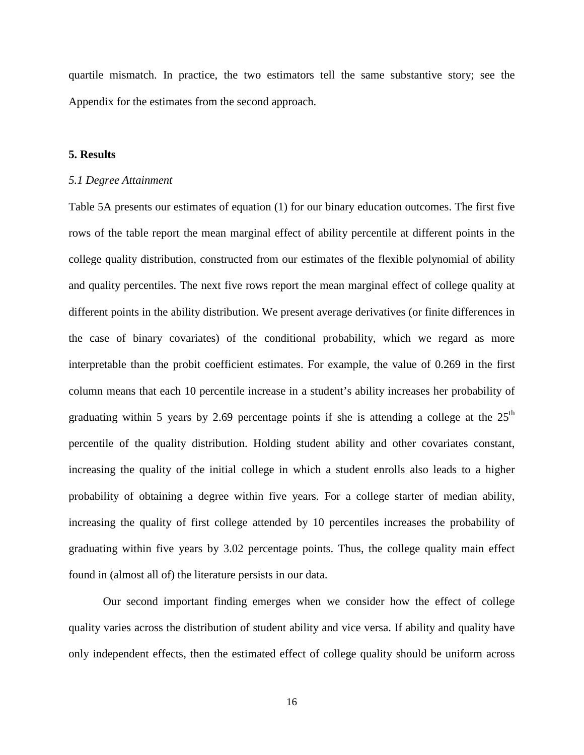quartile mismatch. In practice, the two estimators tell the same substantive story; see the Appendix for the estimates from the second approach.

#### **5. Results**

#### *5.1 Degree Attainment*

Table 5A presents our estimates of equation (1) for our binary education outcomes. The first five rows of the table report the mean marginal effect of ability percentile at different points in the college quality distribution, constructed from our estimates of the flexible polynomial of ability and quality percentiles. The next five rows report the mean marginal effect of college quality at different points in the ability distribution. We present average derivatives (or finite differences in the case of binary covariates) of the conditional probability, which we regard as more interpretable than the probit coefficient estimates. For example, the value of 0.269 in the first column means that each 10 percentile increase in a student's ability increases her probability of graduating within 5 years by 2.69 percentage points if she is attending a college at the  $25<sup>th</sup>$ percentile of the quality distribution. Holding student ability and other covariates constant, increasing the quality of the initial college in which a student enrolls also leads to a higher probability of obtaining a degree within five years. For a college starter of median ability, increasing the quality of first college attended by 10 percentiles increases the probability of graduating within five years by 3.02 percentage points. Thus, the college quality main effect found in (almost all of) the literature persists in our data.

Our second important finding emerges when we consider how the effect of college quality varies across the distribution of student ability and vice versa. If ability and quality have only independent effects, then the estimated effect of college quality should be uniform across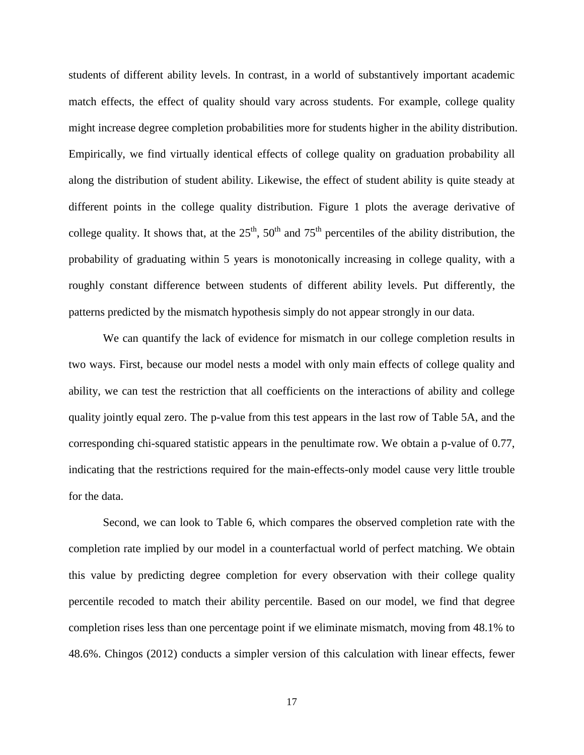students of different ability levels. In contrast, in a world of substantively important academic match effects, the effect of quality should vary across students. For example, college quality might increase degree completion probabilities more for students higher in the ability distribution. Empirically, we find virtually identical effects of college quality on graduation probability all along the distribution of student ability. Likewise, the effect of student ability is quite steady at different points in the college quality distribution. Figure 1 plots the average derivative of college quality. It shows that, at the  $25<sup>th</sup>$ ,  $50<sup>th</sup>$  and  $75<sup>th</sup>$  percentiles of the ability distribution, the probability of graduating within 5 years is monotonically increasing in college quality, with a roughly constant difference between students of different ability levels. Put differently, the patterns predicted by the mismatch hypothesis simply do not appear strongly in our data.

We can quantify the lack of evidence for mismatch in our college completion results in two ways. First, because our model nests a model with only main effects of college quality and ability, we can test the restriction that all coefficients on the interactions of ability and college quality jointly equal zero. The p-value from this test appears in the last row of Table 5A, and the corresponding chi-squared statistic appears in the penultimate row. We obtain a p-value of 0.77, indicating that the restrictions required for the main-effects-only model cause very little trouble for the data.

Second, we can look to Table 6, which compares the observed completion rate with the completion rate implied by our model in a counterfactual world of perfect matching. We obtain this value by predicting degree completion for every observation with their college quality percentile recoded to match their ability percentile. Based on our model, we find that degree completion rises less than one percentage point if we eliminate mismatch, moving from 48.1% to 48.6%. Chingos (2012) conducts a simpler version of this calculation with linear effects, fewer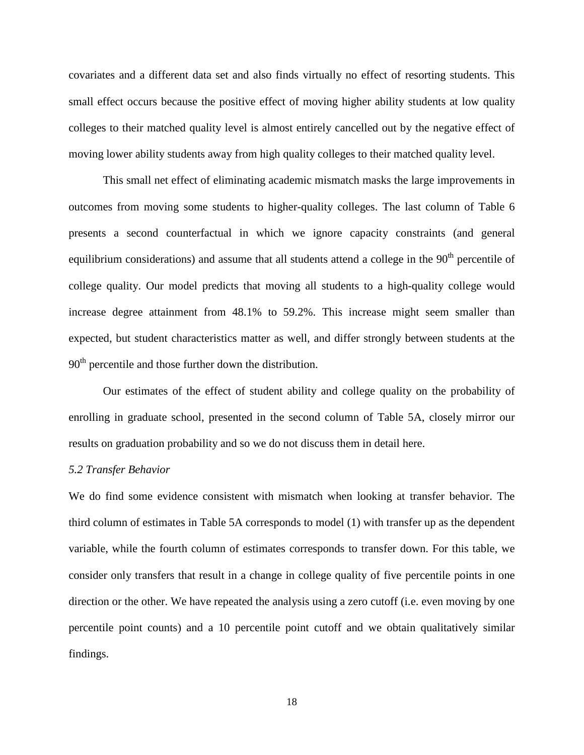covariates and a different data set and also finds virtually no effect of resorting students. This small effect occurs because the positive effect of moving higher ability students at low quality colleges to their matched quality level is almost entirely cancelled out by the negative effect of moving lower ability students away from high quality colleges to their matched quality level.

This small net effect of eliminating academic mismatch masks the large improvements in outcomes from moving some students to higher-quality colleges. The last column of Table 6 presents a second counterfactual in which we ignore capacity constraints (and general equilibrium considerations) and assume that all students attend a college in the  $90<sup>th</sup>$  percentile of college quality. Our model predicts that moving all students to a high-quality college would increase degree attainment from 48.1% to 59.2%. This increase might seem smaller than expected, but student characteristics matter as well, and differ strongly between students at the 90<sup>th</sup> percentile and those further down the distribution.

Our estimates of the effect of student ability and college quality on the probability of enrolling in graduate school, presented in the second column of Table 5A, closely mirror our results on graduation probability and so we do not discuss them in detail here.

#### *5.2 Transfer Behavior*

We do find some evidence consistent with mismatch when looking at transfer behavior. The third column of estimates in Table 5A corresponds to model (1) with transfer up as the dependent variable, while the fourth column of estimates corresponds to transfer down. For this table, we consider only transfers that result in a change in college quality of five percentile points in one direction or the other. We have repeated the analysis using a zero cutoff (i.e. even moving by one percentile point counts) and a 10 percentile point cutoff and we obtain qualitatively similar findings.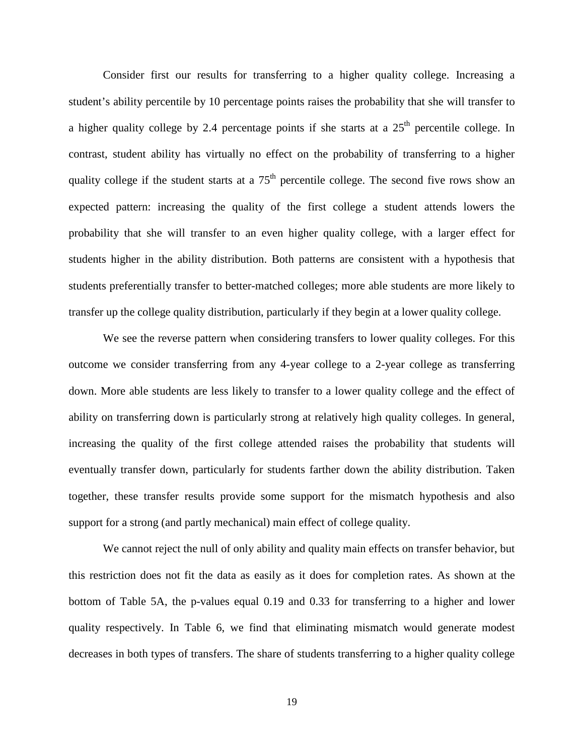Consider first our results for transferring to a higher quality college. Increasing a student's ability percentile by 10 percentage points raises the probability that she will transfer to a higher quality college by 2.4 percentage points if she starts at a  $25<sup>th</sup>$  percentile college. In contrast, student ability has virtually no effect on the probability of transferring to a higher quality college if the student starts at a  $75<sup>th</sup>$  percentile college. The second five rows show an expected pattern: increasing the quality of the first college a student attends lowers the probability that she will transfer to an even higher quality college, with a larger effect for students higher in the ability distribution. Both patterns are consistent with a hypothesis that students preferentially transfer to better-matched colleges; more able students are more likely to transfer up the college quality distribution, particularly if they begin at a lower quality college.

We see the reverse pattern when considering transfers to lower quality colleges. For this outcome we consider transferring from any 4-year college to a 2-year college as transferring down. More able students are less likely to transfer to a lower quality college and the effect of ability on transferring down is particularly strong at relatively high quality colleges. In general, increasing the quality of the first college attended raises the probability that students will eventually transfer down, particularly for students farther down the ability distribution. Taken together, these transfer results provide some support for the mismatch hypothesis and also support for a strong (and partly mechanical) main effect of college quality.

We cannot reject the null of only ability and quality main effects on transfer behavior, but this restriction does not fit the data as easily as it does for completion rates. As shown at the bottom of Table 5A, the p-values equal 0.19 and 0.33 for transferring to a higher and lower quality respectively. In Table 6, we find that eliminating mismatch would generate modest decreases in both types of transfers. The share of students transferring to a higher quality college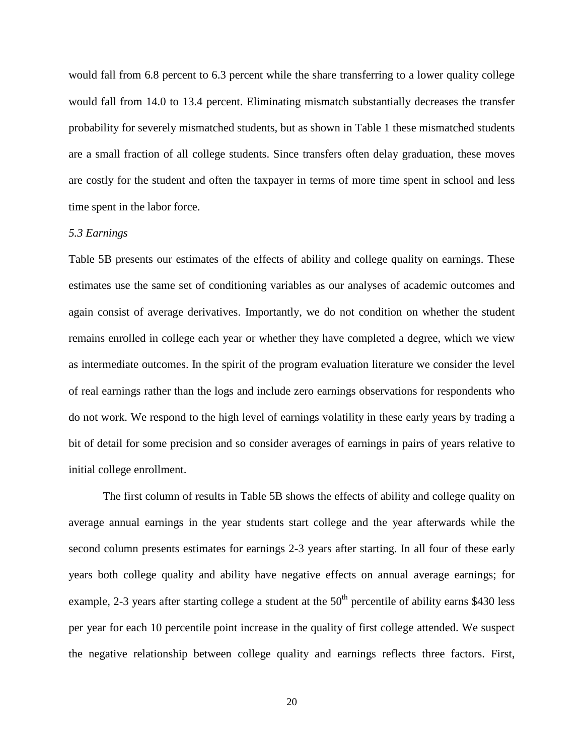would fall from 6.8 percent to 6.3 percent while the share transferring to a lower quality college would fall from 14.0 to 13.4 percent. Eliminating mismatch substantially decreases the transfer probability for severely mismatched students, but as shown in Table 1 these mismatched students are a small fraction of all college students. Since transfers often delay graduation, these moves are costly for the student and often the taxpayer in terms of more time spent in school and less time spent in the labor force.

#### *5.3 Earnings*

Table 5B presents our estimates of the effects of ability and college quality on earnings. These estimates use the same set of conditioning variables as our analyses of academic outcomes and again consist of average derivatives. Importantly, we do not condition on whether the student remains enrolled in college each year or whether they have completed a degree, which we view as intermediate outcomes. In the spirit of the program evaluation literature we consider the level of real earnings rather than the logs and include zero earnings observations for respondents who do not work. We respond to the high level of earnings volatility in these early years by trading a bit of detail for some precision and so consider averages of earnings in pairs of years relative to initial college enrollment.

The first column of results in Table 5B shows the effects of ability and college quality on average annual earnings in the year students start college and the year afterwards while the second column presents estimates for earnings 2-3 years after starting. In all four of these early years both college quality and ability have negative effects on annual average earnings; for example, 2-3 years after starting college a student at the  $50<sup>th</sup>$  percentile of ability earns \$430 less per year for each 10 percentile point increase in the quality of first college attended. We suspect the negative relationship between college quality and earnings reflects three factors. First,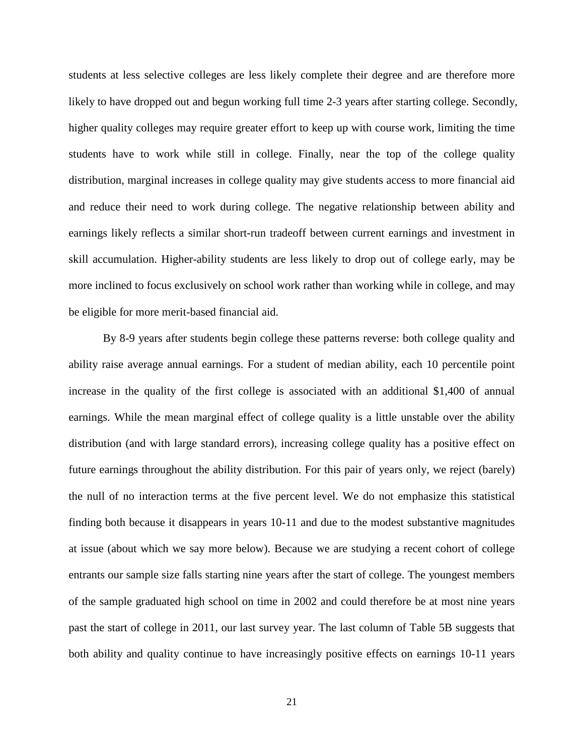students at less selective colleges are less likely complete their degree and are therefore more likely to have dropped out and begun working full time 2-3 years after starting college. Secondly, higher quality colleges may require greater effort to keep up with course work, limiting the time students have to work while still in college. Finally, near the top of the college quality distribution, marginal increases in college quality may give students access to more financial aid and reduce their need to work during college. The negative relationship between ability and earnings likely reflects a similar short-run tradeoff between current earnings and investment in skill accumulation. Higher-ability students are less likely to drop out of college early, may be more inclined to focus exclusively on school work rather than working while in college, and may be eligible for more merit-based financial aid.

By 8-9 years after students begin college these patterns reverse: both college quality and ability raise average annual earnings. For a student of median ability, each 10 percentile point increase in the quality of the first college is associated with an additional \$1,400 of annual earnings. While the mean marginal effect of college quality is a little unstable over the ability distribution (and with large standard errors), increasing college quality has a positive effect on future earnings throughout the ability distribution. For this pair of years only, we reject (barely) the null of no interaction terms at the five percent level. We do not emphasize this statistical finding both because it disappears in years 10-11 and due to the modest substantive magnitudes at issue (about which we say more below). Because we are studying a recent cohort of college entrants our sample size falls starting nine years after the start of college. The youngest members of the sample graduated high school on time in 2002 and could therefore be at most nine years past the start of college in 2011, our last survey year. The last column of Table 5B suggests that both ability and quality continue to have increasingly positive effects on earnings 10-11 years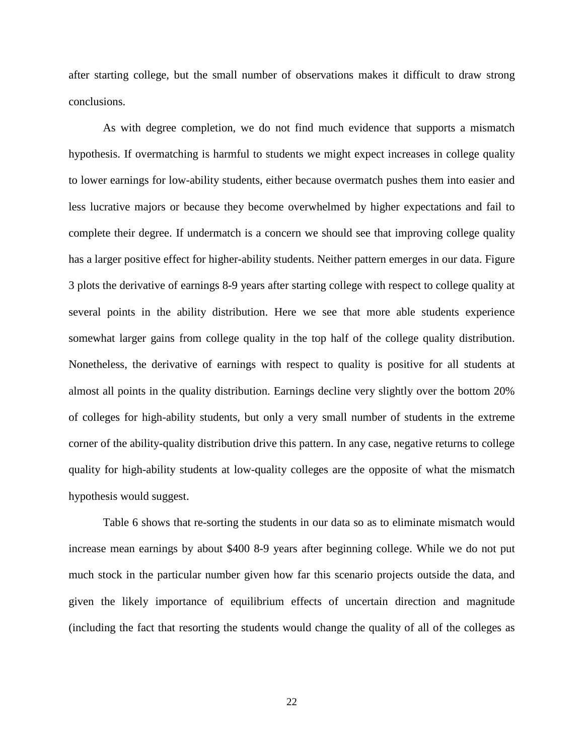after starting college, but the small number of observations makes it difficult to draw strong conclusions.

As with degree completion, we do not find much evidence that supports a mismatch hypothesis. If overmatching is harmful to students we might expect increases in college quality to lower earnings for low-ability students, either because overmatch pushes them into easier and less lucrative majors or because they become overwhelmed by higher expectations and fail to complete their degree. If undermatch is a concern we should see that improving college quality has a larger positive effect for higher-ability students. Neither pattern emerges in our data. Figure 3 plots the derivative of earnings 8-9 years after starting college with respect to college quality at several points in the ability distribution. Here we see that more able students experience somewhat larger gains from college quality in the top half of the college quality distribution. Nonetheless, the derivative of earnings with respect to quality is positive for all students at almost all points in the quality distribution. Earnings decline very slightly over the bottom 20% of colleges for high-ability students, but only a very small number of students in the extreme corner of the ability-quality distribution drive this pattern. In any case, negative returns to college quality for high-ability students at low-quality colleges are the opposite of what the mismatch hypothesis would suggest.

Table 6 shows that re-sorting the students in our data so as to eliminate mismatch would increase mean earnings by about \$400 8-9 years after beginning college. While we do not put much stock in the particular number given how far this scenario projects outside the data, and given the likely importance of equilibrium effects of uncertain direction and magnitude (including the fact that resorting the students would change the quality of all of the colleges as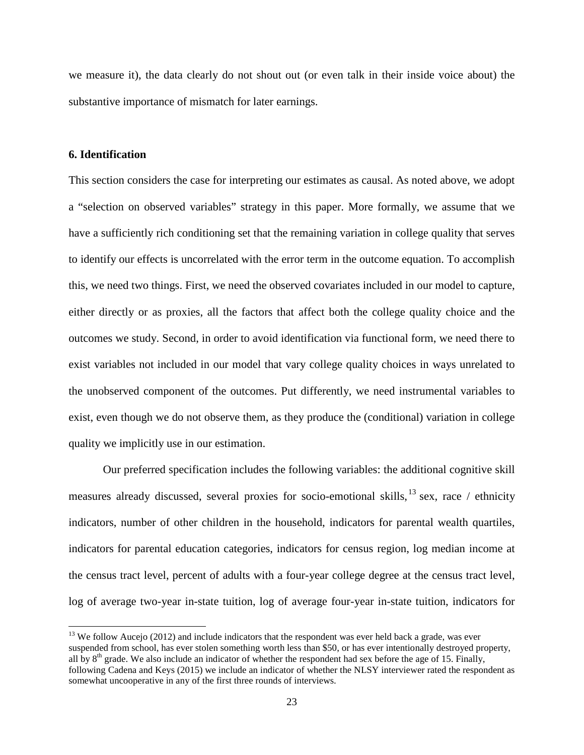we measure it), the data clearly do not shout out (or even talk in their inside voice about) the substantive importance of mismatch for later earnings.

#### **6. Identification**

This section considers the case for interpreting our estimates as causal. As noted above, we adopt a "selection on observed variables" strategy in this paper. More formally, we assume that we have a sufficiently rich conditioning set that the remaining variation in college quality that serves to identify our effects is uncorrelated with the error term in the outcome equation. To accomplish this, we need two things. First, we need the observed covariates included in our model to capture, either directly or as proxies, all the factors that affect both the college quality choice and the outcomes we study. Second, in order to avoid identification via functional form, we need there to exist variables not included in our model that vary college quality choices in ways unrelated to the unobserved component of the outcomes. Put differently, we need instrumental variables to exist, even though we do not observe them, as they produce the (conditional) variation in college quality we implicitly use in our estimation.

Our preferred specification includes the following variables: the additional cognitive skill measures already discussed, several proxies for socio-emotional skills,  $^{13}$  $^{13}$  $^{13}$  sex, race / ethnicity indicators, number of other children in the household, indicators for parental wealth quartiles, indicators for parental education categories, indicators for census region, log median income at the census tract level, percent of adults with a four-year college degree at the census tract level, log of average two-year in-state tuition, log of average four-year in-state tuition, indicators for

 $13$  We follow Aucejo (2012) and include indicators that the respondent was ever held back a grade, was ever suspended from school, has ever stolen something worth less than \$50, or has ever intentionally destroyed property, all by  $8<sup>th</sup>$  grade. We also include an indicator of whether the respondent had sex before the age of 15. Finally, following Cadena and Keys (2015) we include an indicator of whether the NLSY interviewer rated the respondent as somewhat uncooperative in any of the first three rounds of interviews.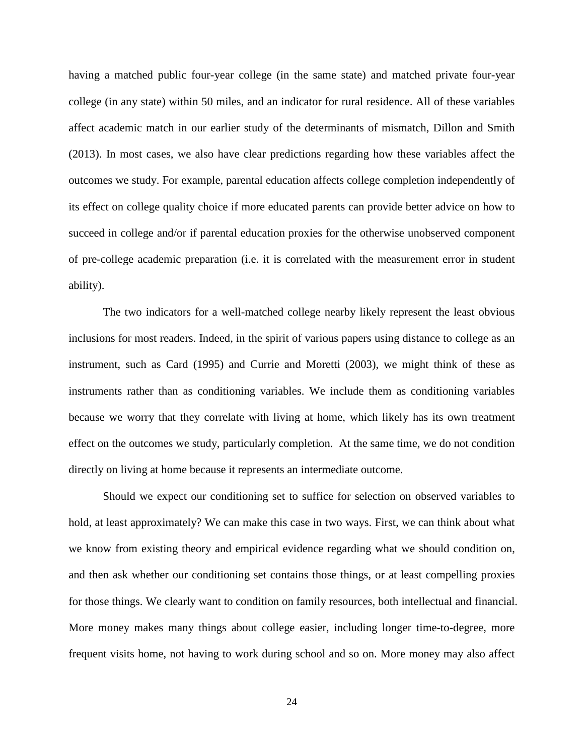having a matched public four-year college (in the same state) and matched private four-year college (in any state) within 50 miles, and an indicator for rural residence. All of these variables affect academic match in our earlier study of the determinants of mismatch, Dillon and Smith (2013). In most cases, we also have clear predictions regarding how these variables affect the outcomes we study. For example, parental education affects college completion independently of its effect on college quality choice if more educated parents can provide better advice on how to succeed in college and/or if parental education proxies for the otherwise unobserved component of pre-college academic preparation (i.e. it is correlated with the measurement error in student ability).

The two indicators for a well-matched college nearby likely represent the least obvious inclusions for most readers. Indeed, in the spirit of various papers using distance to college as an instrument, such as Card (1995) and Currie and Moretti (2003), we might think of these as instruments rather than as conditioning variables. We include them as conditioning variables because we worry that they correlate with living at home, which likely has its own treatment effect on the outcomes we study, particularly completion. At the same time, we do not condition directly on living at home because it represents an intermediate outcome.

Should we expect our conditioning set to suffice for selection on observed variables to hold, at least approximately? We can make this case in two ways. First, we can think about what we know from existing theory and empirical evidence regarding what we should condition on, and then ask whether our conditioning set contains those things, or at least compelling proxies for those things. We clearly want to condition on family resources, both intellectual and financial. More money makes many things about college easier, including longer time-to-degree, more frequent visits home, not having to work during school and so on. More money may also affect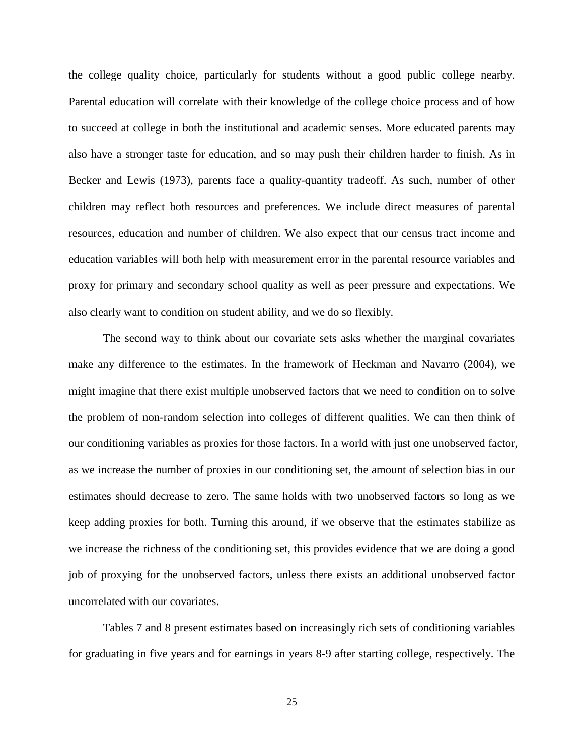the college quality choice, particularly for students without a good public college nearby. Parental education will correlate with their knowledge of the college choice process and of how to succeed at college in both the institutional and academic senses. More educated parents may also have a stronger taste for education, and so may push their children harder to finish. As in Becker and Lewis (1973), parents face a quality-quantity tradeoff. As such, number of other children may reflect both resources and preferences. We include direct measures of parental resources, education and number of children. We also expect that our census tract income and education variables will both help with measurement error in the parental resource variables and proxy for primary and secondary school quality as well as peer pressure and expectations. We also clearly want to condition on student ability, and we do so flexibly.

The second way to think about our covariate sets asks whether the marginal covariates make any difference to the estimates. In the framework of Heckman and Navarro (2004), we might imagine that there exist multiple unobserved factors that we need to condition on to solve the problem of non-random selection into colleges of different qualities. We can then think of our conditioning variables as proxies for those factors. In a world with just one unobserved factor, as we increase the number of proxies in our conditioning set, the amount of selection bias in our estimates should decrease to zero. The same holds with two unobserved factors so long as we keep adding proxies for both. Turning this around, if we observe that the estimates stabilize as we increase the richness of the conditioning set, this provides evidence that we are doing a good job of proxying for the unobserved factors, unless there exists an additional unobserved factor uncorrelated with our covariates.

Tables 7 and 8 present estimates based on increasingly rich sets of conditioning variables for graduating in five years and for earnings in years 8-9 after starting college, respectively. The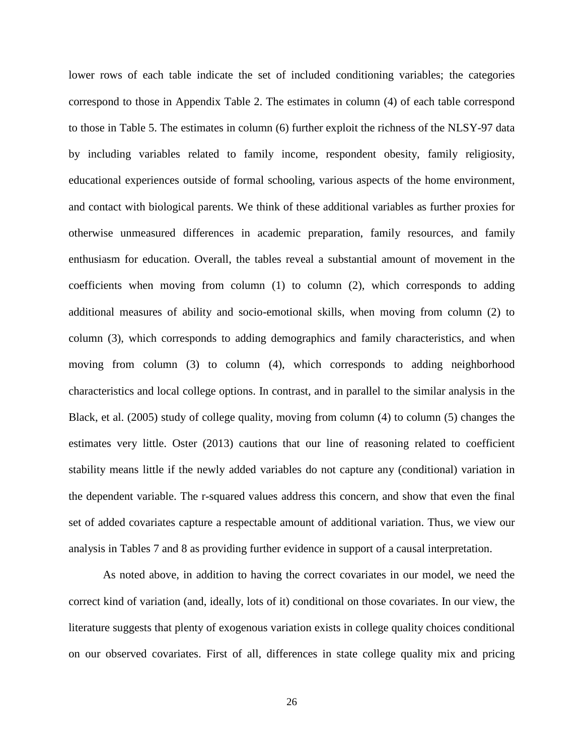lower rows of each table indicate the set of included conditioning variables; the categories correspond to those in Appendix Table 2. The estimates in column (4) of each table correspond to those in Table 5. The estimates in column (6) further exploit the richness of the NLSY-97 data by including variables related to family income, respondent obesity, family religiosity, educational experiences outside of formal schooling, various aspects of the home environment, and contact with biological parents. We think of these additional variables as further proxies for otherwise unmeasured differences in academic preparation, family resources, and family enthusiasm for education. Overall, the tables reveal a substantial amount of movement in the coefficients when moving from column  $(1)$  to column  $(2)$ , which corresponds to adding additional measures of ability and socio-emotional skills, when moving from column (2) to column (3), which corresponds to adding demographics and family characteristics, and when moving from column (3) to column (4), which corresponds to adding neighborhood characteristics and local college options. In contrast, and in parallel to the similar analysis in the Black, et al. (2005) study of college quality, moving from column (4) to column (5) changes the estimates very little. Oster (2013) cautions that our line of reasoning related to coefficient stability means little if the newly added variables do not capture any (conditional) variation in the dependent variable. The r-squared values address this concern, and show that even the final set of added covariates capture a respectable amount of additional variation. Thus, we view our analysis in Tables 7 and 8 as providing further evidence in support of a causal interpretation.

As noted above, in addition to having the correct covariates in our model, we need the correct kind of variation (and, ideally, lots of it) conditional on those covariates. In our view, the literature suggests that plenty of exogenous variation exists in college quality choices conditional on our observed covariates. First of all, differences in state college quality mix and pricing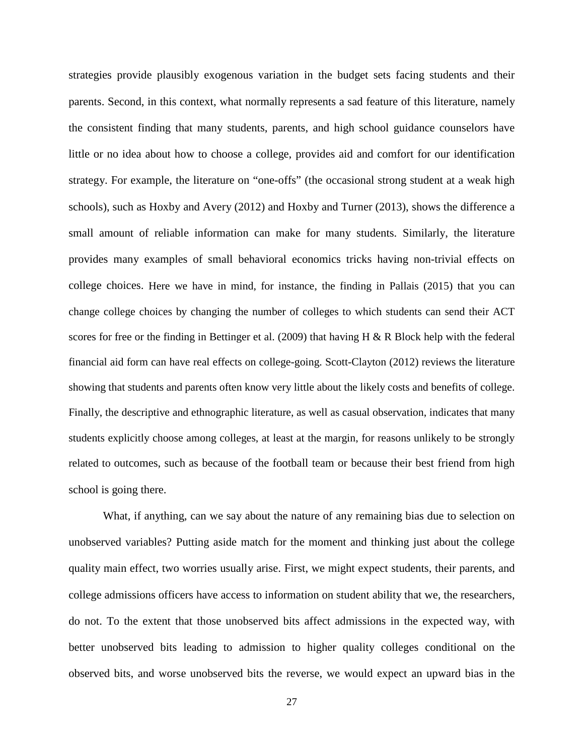strategies provide plausibly exogenous variation in the budget sets facing students and their parents. Second, in this context, what normally represents a sad feature of this literature, namely the consistent finding that many students, parents, and high school guidance counselors have little or no idea about how to choose a college, provides aid and comfort for our identification strategy. For example, the literature on "one-offs" (the occasional strong student at a weak high schools), such as Hoxby and Avery (2012) and Hoxby and Turner (2013), shows the difference a small amount of reliable information can make for many students. Similarly, the literature provides many examples of small behavioral economics tricks having non-trivial effects on college choices. Here we have in mind, for instance, the finding in Pallais (2015) that you can change college choices by changing the number of colleges to which students can send their ACT scores for free or the finding in Bettinger et al. (2009) that having H & R Block help with the federal financial aid form can have real effects on college-going. Scott-Clayton (2012) reviews the literature showing that students and parents often know very little about the likely costs and benefits of college. Finally, the descriptive and ethnographic literature, as well as casual observation, indicates that many students explicitly choose among colleges, at least at the margin, for reasons unlikely to be strongly related to outcomes, such as because of the football team or because their best friend from high school is going there.

What, if anything, can we say about the nature of any remaining bias due to selection on unobserved variables? Putting aside match for the moment and thinking just about the college quality main effect, two worries usually arise. First, we might expect students, their parents, and college admissions officers have access to information on student ability that we, the researchers, do not. To the extent that those unobserved bits affect admissions in the expected way, with better unobserved bits leading to admission to higher quality colleges conditional on the observed bits, and worse unobserved bits the reverse, we would expect an upward bias in the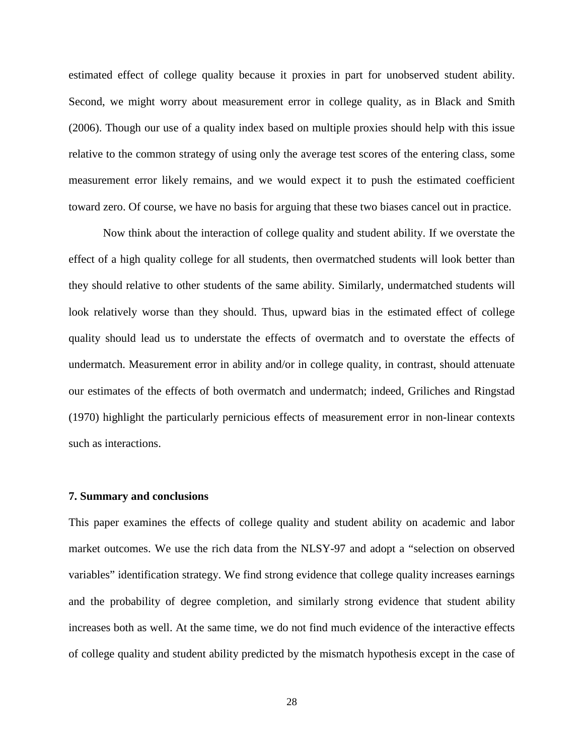estimated effect of college quality because it proxies in part for unobserved student ability. Second, we might worry about measurement error in college quality, as in Black and Smith (2006). Though our use of a quality index based on multiple proxies should help with this issue relative to the common strategy of using only the average test scores of the entering class, some measurement error likely remains, and we would expect it to push the estimated coefficient toward zero. Of course, we have no basis for arguing that these two biases cancel out in practice.

Now think about the interaction of college quality and student ability. If we overstate the effect of a high quality college for all students, then overmatched students will look better than they should relative to other students of the same ability. Similarly, undermatched students will look relatively worse than they should. Thus, upward bias in the estimated effect of college quality should lead us to understate the effects of overmatch and to overstate the effects of undermatch. Measurement error in ability and/or in college quality, in contrast, should attenuate our estimates of the effects of both overmatch and undermatch; indeed, Griliches and Ringstad (1970) highlight the particularly pernicious effects of measurement error in non-linear contexts such as interactions.

#### **7. Summary and conclusions**

This paper examines the effects of college quality and student ability on academic and labor market outcomes. We use the rich data from the NLSY-97 and adopt a "selection on observed variables" identification strategy. We find strong evidence that college quality increases earnings and the probability of degree completion, and similarly strong evidence that student ability increases both as well. At the same time, we do not find much evidence of the interactive effects of college quality and student ability predicted by the mismatch hypothesis except in the case of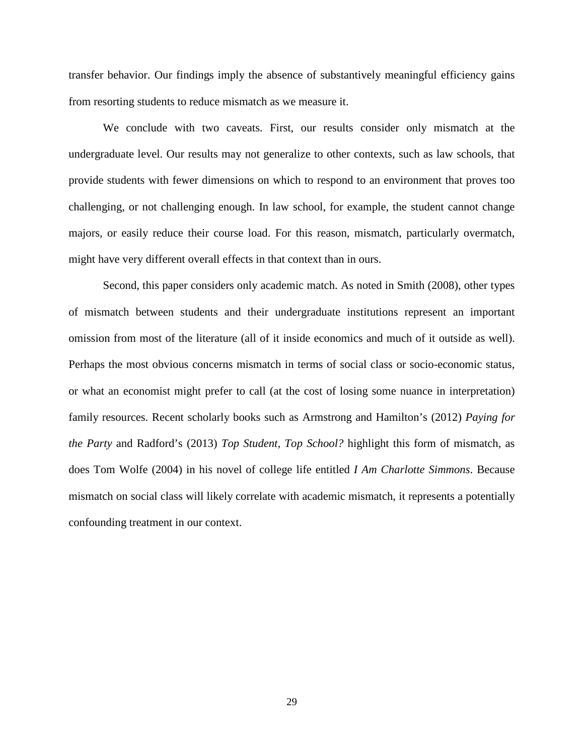transfer behavior. Our findings imply the absence of substantively meaningful efficiency gains from resorting students to reduce mismatch as we measure it.

We conclude with two caveats. First, our results consider only mismatch at the undergraduate level. Our results may not generalize to other contexts, such as law schools, that provide students with fewer dimensions on which to respond to an environment that proves too challenging, or not challenging enough. In law school, for example, the student cannot change majors, or easily reduce their course load. For this reason, mismatch, particularly overmatch, might have very different overall effects in that context than in ours.

Second, this paper considers only academic match. As noted in Smith (2008), other types of mismatch between students and their undergraduate institutions represent an important omission from most of the literature (all of it inside economics and much of it outside as well). Perhaps the most obvious concerns mismatch in terms of social class or socio-economic status, or what an economist might prefer to call (at the cost of losing some nuance in interpretation) family resources. Recent scholarly books such as Armstrong and Hamilton's (2012) *Paying for the Party* and Radford's (2013) *Top Student, Top School?* highlight this form of mismatch, as does Tom Wolfe (2004) in his novel of college life entitled *I Am Charlotte Simmons*. Because mismatch on social class will likely correlate with academic mismatch, it represents a potentially confounding treatment in our context.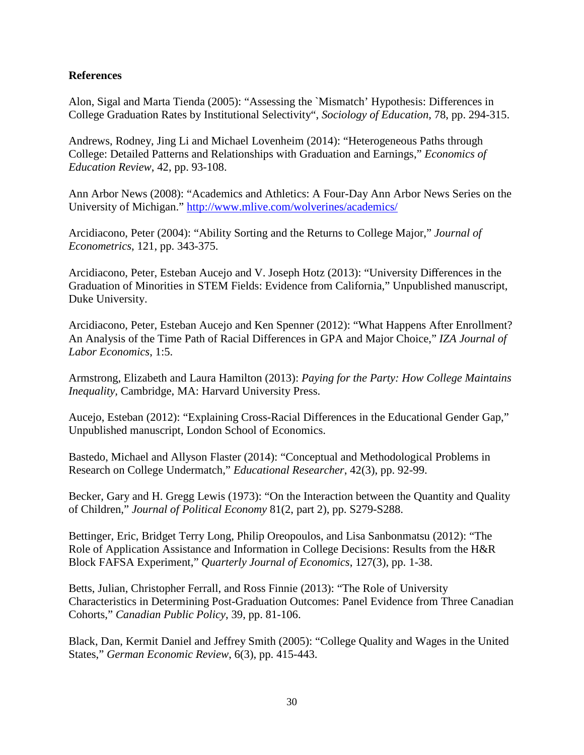#### **References**

Alon, Sigal and Marta Tienda (2005): "Assessing the `Mismatch' Hypothesis: Differences in College Graduation Rates by Institutional Selectivity", *Sociology of Education*, 78, pp. 294-315.

Andrews, Rodney, Jing Li and Michael Lovenheim (2014): "Heterogeneous Paths through College: Detailed Patterns and Relationships with Graduation and Earnings," *Economics of Education Review*, 42, pp. 93-108.

Ann Arbor News (2008): "Academics and Athletics: A Four-Day Ann Arbor News Series on the University of Michigan."<http://www.mlive.com/wolverines/academics/>

Arcidiacono, Peter (2004): "Ability Sorting and the Returns to College Major," *Journal of Econometrics*, 121, pp. 343-375.

Arcidiacono, Peter, Esteban Aucejo and V. Joseph Hotz (2013): "University Differences in the Graduation of Minorities in STEM Fields: Evidence from California," Unpublished manuscript, Duke University.

Arcidiacono, Peter, Esteban Aucejo and Ken Spenner (2012): "What Happens After Enrollment? An Analysis of the Time Path of Racial Differences in GPA and Major Choice," *IZA Journal of Labor Economics*, 1:5.

Armstrong, Elizabeth and Laura Hamilton (2013): *Paying for the Party: How College Maintains Inequality,* Cambridge, MA: Harvard University Press.

Aucejo, Esteban (2012): "Explaining Cross-Racial Differences in the Educational Gender Gap," Unpublished manuscript, London School of Economics.

Bastedo, Michael and Allyson Flaster (2014): "Conceptual and Methodological Problems in Research on College Undermatch," *Educational Researcher*, 42(3), pp. 92-99.

Becker, Gary and H. Gregg Lewis (1973): "On the Interaction between the Quantity and Quality of Children," *Journal of Political Economy* 81(2, part 2), pp. S279-S288.

Bettinger, Eric, Bridget Terry Long, Philip Oreopoulos, and Lisa Sanbonmatsu (2012): "The Role of Application Assistance and Information in College Decisions: Results from the H&R Block FAFSA Experiment," *Quarterly Journal of Economics*, 127(3), pp. 1-38.

Betts, Julian, Christopher Ferrall, and Ross Finnie (2013): "The Role of University Characteristics in Determining Post-Graduation Outcomes: Panel Evidence from Three Canadian Cohorts," *Canadian Public Policy*, 39, pp. 81-106.

Black, Dan, Kermit Daniel and Jeffrey Smith (2005): "College Quality and Wages in the United States," *German Economic Review*, 6(3), pp. 415-443.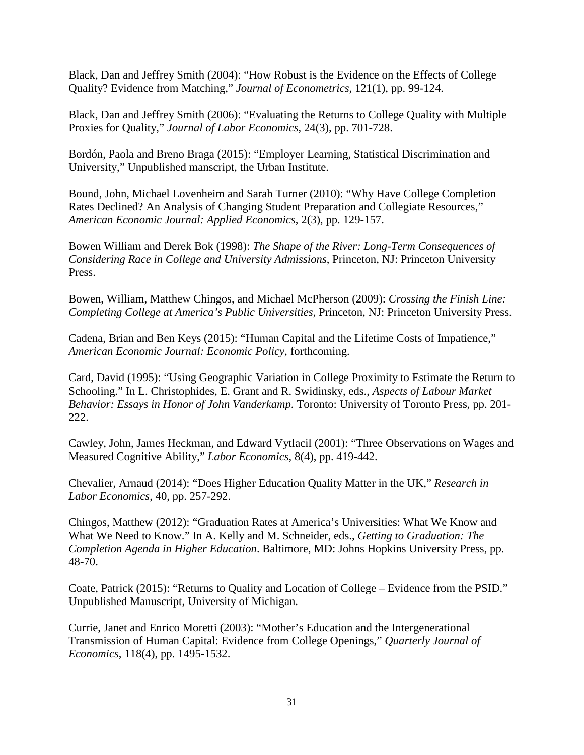Black, Dan and Jeffrey Smith (2004): "How Robust is the Evidence on the Effects of College Quality? Evidence from Matching," *Journal of Econometrics*, 121(1), pp. 99-124.

Black, Dan and Jeffrey Smith (2006): "Evaluating the Returns to College Quality with Multiple Proxies for Quality," *Journal of Labor Economics*, 24(3), pp. 701-728.

Bordón, Paola and Breno Braga (2015): "Employer Learning, Statistical Discrimination and University," Unpublished manscript, the Urban Institute.

Bound, John, Michael Lovenheim and Sarah Turner (2010): "Why Have College Completion Rates Declined? An Analysis of Changing Student Preparation and Collegiate Resources," *American Economic Journal: Applied Economics*, 2(3), pp. 129-157.

Bowen William and Derek Bok (1998): *The Shape of the River: Long-Term Consequences of Considering Race in College and University Admissions*, Princeton, NJ: Princeton University Press.

Bowen, William, Matthew Chingos, and Michael McPherson (2009): *Crossing the Finish Line: Completing College at America's Public Universities*, Princeton, NJ: Princeton University Press.

Cadena, Brian and Ben Keys (2015): "Human Capital and the Lifetime Costs of Impatience," *American Economic Journal: Economic Policy*, forthcoming.

Card, David (1995): "Using Geographic Variation in College Proximity to Estimate the Return to Schooling." In L. Christophides, E. Grant and R. Swidinsky, eds., *Aspects of Labour Market Behavior: Essays in Honor of John Vanderkamp*. Toronto: University of Toronto Press, pp. 201- 222.

Cawley, John, James Heckman, and Edward Vytlacil (2001): "Three Observations on Wages and Measured Cognitive Ability," *Labor Economics*, 8(4), pp. 419-442.

Chevalier, Arnaud (2014): "Does Higher Education Quality Matter in the UK," *Research in Labor Economics*, 40, pp. 257-292.

Chingos, Matthew (2012): "Graduation Rates at America's Universities: What We Know and What We Need to Know." In A. Kelly and M. Schneider, eds., *Getting to Graduation: The Completion Agenda in Higher Education*. Baltimore, MD: Johns Hopkins University Press, pp. 48-70.

Coate, Patrick (2015): "Returns to Quality and Location of College – Evidence from the PSID." Unpublished Manuscript, University of Michigan.

Currie, Janet and Enrico Moretti (2003): "Mother's Education and the Intergenerational Transmission of Human Capital: Evidence from College Openings," *Quarterly Journal of Economics*, 118(4), pp. 1495-1532.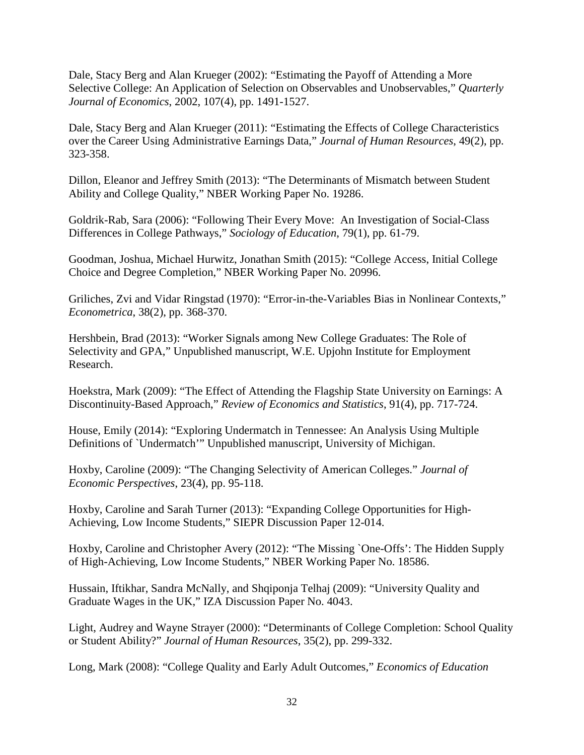Dale, Stacy Berg and Alan Krueger (2002): "Estimating the Payoff of Attending a More Selective College: An Application of Selection on Observables and Unobservables," *Quarterly Journal of Economics*, 2002, 107(4), pp. 1491-1527.

Dale, Stacy Berg and Alan Krueger (2011): "Estimating the Effects of College Characteristics over the Career Using Administrative Earnings Data," *Journal of Human Resources*, 49(2), pp. 323-358.

Dillon, Eleanor and Jeffrey Smith (2013): "The Determinants of Mismatch between Student Ability and College Quality," NBER Working Paper No. 19286.

Goldrik-Rab, Sara (2006): "Following Their Every Move: An Investigation of Social-Class Differences in College Pathways," *Sociology of Education*, 79(1), pp. 61-79.

Goodman, Joshua, Michael Hurwitz, Jonathan Smith (2015): "College Access, Initial College Choice and Degree Completion," NBER Working Paper No. 20996.

Griliches, Zvi and Vidar Ringstad (1970): "Error-in-the-Variables Bias in Nonlinear Contexts," *Econometrica*, 38(2), pp. 368-370.

Hershbein, Brad (2013): "Worker Signals among New College Graduates: The Role of Selectivity and GPA," Unpublished manuscript, W.E. Upjohn Institute for Employment Research.

Hoekstra, Mark (2009): "The Effect of Attending the Flagship State University on Earnings: A Discontinuity-Based Approach," *Review of Economics and Statistics*, 91(4), pp. 717-724.

House, Emily (2014): "Exploring Undermatch in Tennessee: An Analysis Using Multiple Definitions of `Undermatch'" Unpublished manuscript, University of Michigan.

Hoxby, Caroline (2009): "The Changing Selectivity of American Colleges." *Journal of Economic Perspectives*, 23(4), pp. 95-118.

Hoxby, Caroline and Sarah Turner (2013): "Expanding College Opportunities for High-Achieving, Low Income Students," SIEPR Discussion Paper 12-014.

Hoxby, Caroline and Christopher Avery (2012): "The Missing `One-Offs': The Hidden Supply of High-Achieving, Low Income Students," NBER Working Paper No. 18586.

Hussain, Iftikhar, Sandra McNally, and Shqiponja Telhaj (2009): "University Quality and Graduate Wages in the UK," IZA Discussion Paper No. 4043.

Light, Audrey and Wayne Strayer (2000): "Determinants of College Completion: School Quality or Student Ability?" *Journal of Human Resources*, 35(2), pp. 299-332.

Long, Mark (2008): "College Quality and Early Adult Outcomes," *Economics of Education*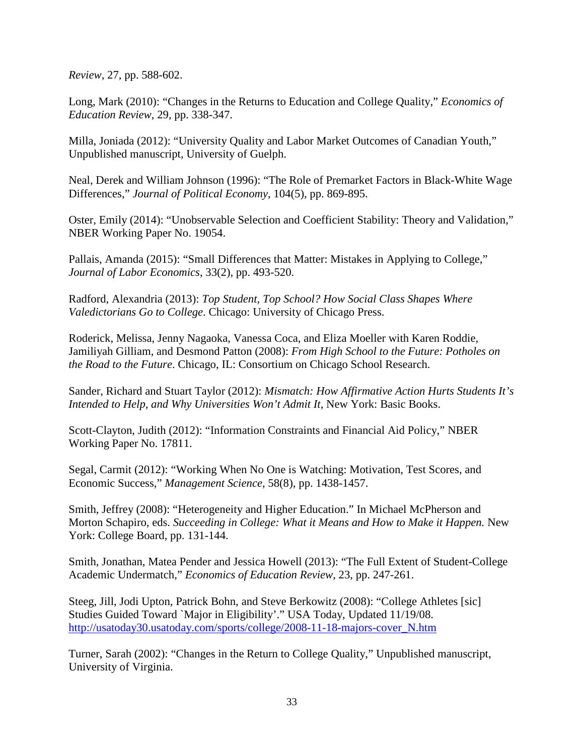*Review*, 27, pp. 588-602.

Long, Mark (2010): "Changes in the Returns to Education and College Quality," *Economics of Education Review*, 29, pp. 338-347.

Milla, Joniada (2012): "University Quality and Labor Market Outcomes of Canadian Youth," Unpublished manuscript, University of Guelph.

Neal, Derek and William Johnson (1996): "The Role of Premarket Factors in Black-White Wage Differences," *Journal of Political Economy*, 104(5), pp. 869-895.

Oster, Emily (2014): "Unobservable Selection and Coefficient Stability: Theory and Validation," NBER Working Paper No. 19054.

Pallais, Amanda (2015): "Small Differences that Matter: Mistakes in Applying to College," *Journal of Labor Economics*, 33(2), pp. 493-520.

Radford, Alexandria (2013): *Top Student, Top School? How Social Class Shapes Where Valedictorians Go to College*. Chicago: University of Chicago Press.

Roderick, Melissa, Jenny Nagaoka, Vanessa Coca, and Eliza Moeller with Karen Roddie, Jamiliyah Gilliam, and Desmond Patton (2008): *From High School to the Future: Potholes on the Road to the Future*. Chicago, IL: Consortium on Chicago School Research.

Sander, Richard and Stuart Taylor (2012): *Mismatch: How Affirmative Action Hurts Students It's Intended to Help, and Why Universities Won't Admit It*, New York: Basic Books.

Scott-Clayton, Judith (2012): "Information Constraints and Financial Aid Policy," NBER Working Paper No. 17811.

Segal, Carmit (2012): "Working When No One is Watching: Motivation, Test Scores, and Economic Success," *Management Science*, 58(8), pp. 1438-1457.

Smith, Jeffrey (2008): "Heterogeneity and Higher Education." In Michael McPherson and Morton Schapiro, eds. *Succeeding in College: What it Means and How to Make it Happen.* New York: College Board, pp. 131-144.

Smith, Jonathan, Matea Pender and Jessica Howell (2013): "The Full Extent of Student-College Academic Undermatch," *Economics of Education Review*, 23, pp. 247-261.

Steeg, Jill, Jodi Upton, Patrick Bohn, and Steve Berkowitz (2008): "College Athletes [sic] Studies Guided Toward `Major in Eligibility'." USA Today, Updated 11/19/08. [http://usatoday30.usatoday.com/sports/college/2008-11-18-majors-cover\\_N.htm](http://usatoday30.usatoday.com/sports/college/2008-11-18-majors-cover_N.htm)

Turner, Sarah (2002): "Changes in the Return to College Quality," Unpublished manuscript, University of Virginia.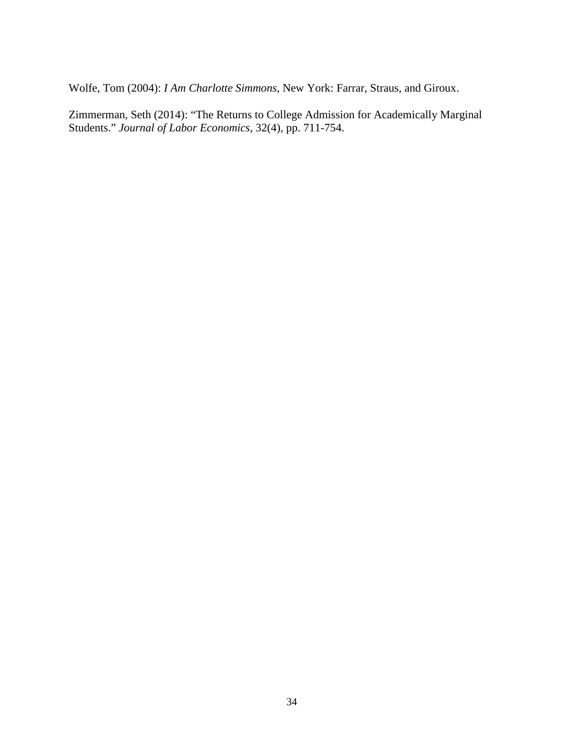Wolfe, Tom (2004): *I Am Charlotte Simmons*, New York: Farrar, Straus, and Giroux.

Zimmerman, Seth (2014): "The Returns to College Admission for Academically Marginal Students." *Journal of Labor Economics*, 32(4), pp. 711-754.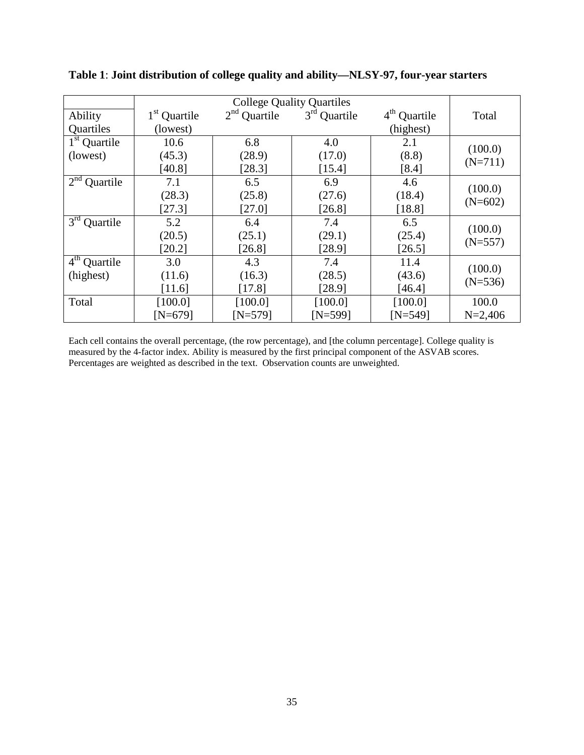| Ability                  | 1 <sup>st</sup> Quartile | $2nd$ Quartile | $3rd$ Quartile | $4th$ Quartile | Total       |
|--------------------------|--------------------------|----------------|----------------|----------------|-------------|
| Quartiles                | (lowest)                 |                |                | (highest)      |             |
| $1st$ Quartile           | 10.6                     | 6.8            | 4.0            | 2.1            | (100.0)     |
| (lowest)                 | (45.3)                   | (28.9)         | (17.0)         | (8.8)          | $(N=711)$   |
|                          | [40.8]                   | [28.3]         | [15.4]         | [8.4]          |             |
| $2nd$ Quartile           | 7.1                      | 6.5            | 6.9            | 4.6            | (100.0)     |
|                          | (28.3)                   | (25.8)         | (27.6)         | (18.4)         |             |
|                          | [27.3]                   | [27.0]         | [26.8]         | [18.8]         | $(N=602)$   |
| $3^{\rm rd}$<br>Quartile | 5.2                      | 6.4            | 7.4            | 6.5            | (100.0)     |
|                          | (20.5)                   | (25.1)         | (29.1)         | (25.4)         | $(N=557)$   |
|                          | [20.2]                   | [26.8]         | [28.9]         | [26.5]         |             |
| $4th$ Quartile           | 3.0                      | 4.3            | 7.4            | 11.4           | (100.0)     |
| (highest)                | (11.6)                   | (16.3)         | (28.5)         | (43.6)         | $(N=536)$   |
|                          | [11.6]                   | [17.8]         | [28.9]         | [46.4]         |             |
| Total                    | [100.0]                  | [100.0]        | [100.0]        | [100.0]        | 100.0       |
|                          | $[N=679]$                | $[N=579]$      | $[N=599]$      | $[N=549]$      | $N = 2,406$ |

**Table 1**: **Joint distribution of college quality and ability—NLSY-97, four-year starters**

Each cell contains the overall percentage, (the row percentage), and [the column percentage]. College quality is measured by the 4-factor index. Ability is measured by the first principal component of the ASVAB scores. Percentages are weighted as described in the text. Observation counts are unweighted.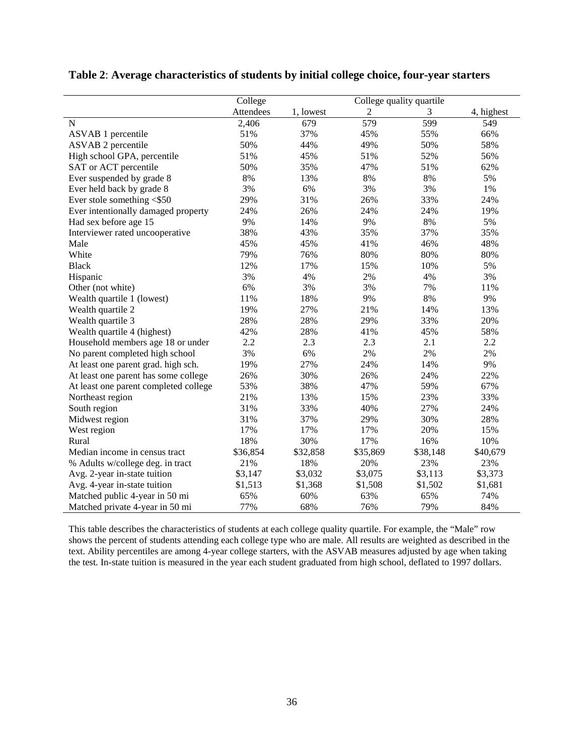|                                       | College<br>College quality quartile |           |                  |          |            |
|---------------------------------------|-------------------------------------|-----------|------------------|----------|------------|
|                                       | Attendees                           | 1, lowest | $\overline{2}$   | 3        | 4, highest |
| $\mathbf N$                           | 2,406                               | 679       | $\overline{579}$ | 599      | 549        |
| <b>ASVAB</b> 1 percentile             | 51%                                 | 37%       | 45%              | 55%      | 66%        |
| <b>ASVAB 2 percentile</b>             | 50%                                 | 44%       | 49%              | 50%      | 58%        |
| High school GPA, percentile           | 51%                                 | 45%       | 51%              | 52%      | 56%        |
| SAT or ACT percentile                 | 50%                                 | 35%       | 47%              | 51%      | 62%        |
| Ever suspended by grade 8             | 8%                                  | 13%       | 8%               | 8%       | 5%         |
| Ever held back by grade 8             | 3%                                  | 6%        | 3%               | 3%       | 1%         |
| Ever stole something <\$50            | 29%                                 | 31%       | 26%              | 33%      | 24%        |
| Ever intentionally damaged property   | 24%                                 | 26%       | 24%              | 24%      | 19%        |
| Had sex before age 15                 | 9%                                  | 14%       | 9%               | 8%       | 5%         |
| Interviewer rated uncooperative       | 38%                                 | 43%       | 35%              | 37%      | 35%        |
| Male                                  | 45%                                 | 45%       | 41%              | 46%      | 48%        |
| White                                 | 79%                                 | 76%       | 80%              | 80%      | 80%        |
| <b>Black</b>                          | 12%                                 | 17%       | 15%              | 10%      | 5%         |
| Hispanic                              | 3%                                  | 4%        | 2%               | 4%       | 3%         |
| Other (not white)                     | 6%                                  | 3%        | 3%               | 7%       | 11%        |
| Wealth quartile 1 (lowest)            | 11%                                 | 18%       | 9%               | 8%       | 9%         |
| Wealth quartile 2                     | 19%                                 | 27%       | 21%              | 14%      | 13%        |
| Wealth quartile 3                     | 28%                                 | 28%       | 29%              | 33%      | 20%        |
| Wealth quartile 4 (highest)           | 42%                                 | 28%       | 41%              | 45%      | 58%        |
| Household members age 18 or under     | 2.2                                 | 2.3       | 2.3              | 2.1      | 2.2        |
| No parent completed high school       | 3%                                  | 6%        | 2%               | 2%       | 2%         |
| At least one parent grad. high sch.   | 19%                                 | 27%       | 24%              | 14%      | 9%         |
| At least one parent has some college  | 26%                                 | 30%       | 26%              | 24%      | 22%        |
| At least one parent completed college | 53%                                 | 38%       | 47%              | 59%      | 67%        |
| Northeast region                      | 21%                                 | 13%       | 15%              | 23%      | 33%        |
| South region                          | 31%                                 | 33%       | 40%              | 27%      | 24%        |
| Midwest region                        | 31%                                 | 37%       | 29%              | 30%      | 28%        |
| West region                           | 17%                                 | 17%       | 17%              | 20%      | 15%        |
| Rural                                 | 18%                                 | 30%       | 17%              | 16%      | 10%        |
| Median income in census tract         | \$36,854                            | \$32,858  | \$35,869         | \$38,148 | \$40,679   |
| % Adults w/college deg. in tract      | 21%                                 | 18%       | 20%              | 23%      | 23%        |
| Avg. 2-year in-state tuition          | \$3,147                             | \$3,032   | \$3,075          | \$3,113  | \$3,373    |
| Avg. 4-year in-state tuition          | \$1,513                             | \$1,368   | \$1,508          | \$1,502  | \$1,681    |
| Matched public 4-year in 50 mi        | 65%                                 | 60%       | 63%              | 65%      | 74%        |
| Matched private 4-year in 50 mi       | 77%                                 | 68%       | 76%              | 79%      | 84%        |

#### **Table 2**: **Average characteristics of students by initial college choice, four-year starters**

This table describes the characteristics of students at each college quality quartile. For example, the "Male" row shows the percent of students attending each college type who are male. All results are weighted as described in the text. Ability percentiles are among 4-year college starters, with the ASVAB measures adjusted by age when taking the test. In-state tuition is measured in the year each student graduated from high school, deflated to 1997 dollars.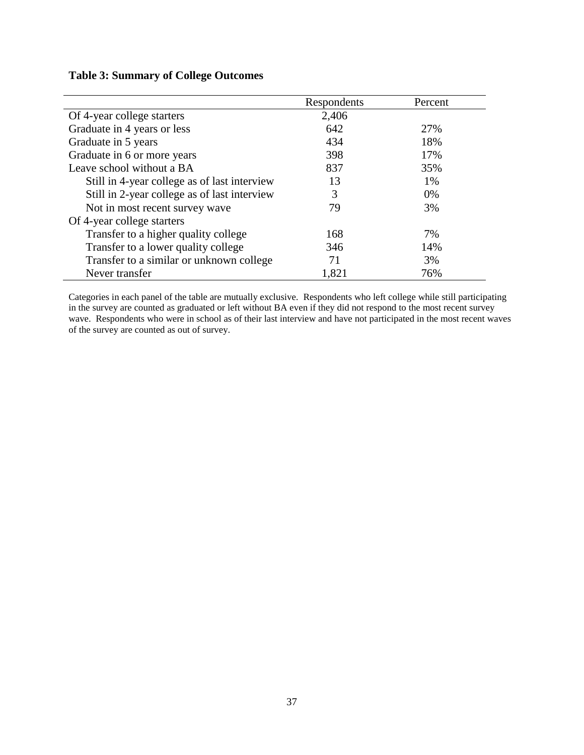|                                              | Respondents | Percent |
|----------------------------------------------|-------------|---------|
| Of 4-year college starters                   | 2,406       |         |
| Graduate in 4 years or less                  | 642         | 27%     |
| Graduate in 5 years                          | 434         | 18%     |
| Graduate in 6 or more years                  | 398         | 17%     |
| Leave school without a BA                    | 837         | 35%     |
| Still in 4-year college as of last interview | 13          | 1%      |
| Still in 2-year college as of last interview | 3           | $0\%$   |
| Not in most recent survey wave               | 79          | 3%      |
| Of 4-year college starters                   |             |         |
| Transfer to a higher quality college         | 168         | 7%      |
| Transfer to a lower quality college          | 346         | 14%     |
| Transfer to a similar or unknown college     | 71          | 3%      |
| Never transfer                               | 1,821       | 76%     |

Categories in each panel of the table are mutually exclusive. Respondents who left college while still participating in the survey are counted as graduated or left without BA even if they did not respond to the most recent survey wave. Respondents who were in school as of their last interview and have not participated in the most recent waves of the survey are counted as out of survey.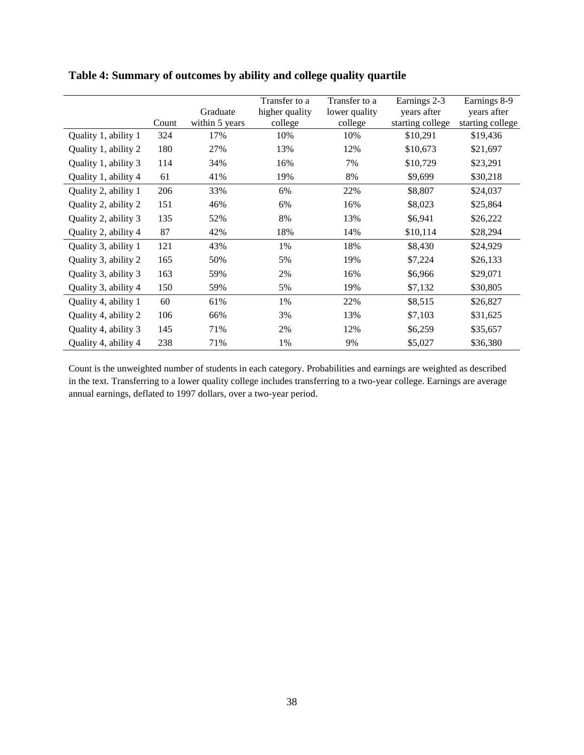|                      |       |                | Transfer to a  | Transfer to a | Earnings 2-3     | Earnings 8-9     |
|----------------------|-------|----------------|----------------|---------------|------------------|------------------|
|                      |       | Graduate       | higher quality | lower quality | years after      | years after      |
|                      | Count | within 5 years | college        | college       | starting college | starting college |
| Quality 1, ability 1 | 324   | 17%            | 10%            | 10%           | \$10,291         | \$19,436         |
| Quality 1, ability 2 | 180   | 27%            | 13%            | 12%           | \$10,673         | \$21,697         |
| Quality 1, ability 3 | 114   | 34%            | 16%            | 7%            | \$10,729         | \$23,291         |
| Quality 1, ability 4 | 61    | 41%            | 19%            | 8%            | \$9,699          | \$30,218         |
| Quality 2, ability 1 | 206   | 33%            | 6%             | 22%           | \$8,807          | \$24,037         |
| Quality 2, ability 2 | 151   | 46%            | 6%             | 16%           | \$8,023          | \$25,864         |
| Quality 2, ability 3 | 135   | 52%            | 8%             | 13%           | \$6,941          | \$26,222         |
| Quality 2, ability 4 | 87    | 42%            | 18%            | 14%           | \$10,114         | \$28,294         |
| Quality 3, ability 1 | 121   | 43%            | 1%             | 18%           | \$8,430          | \$24,929         |
| Quality 3, ability 2 | 165   | 50%            | 5%             | 19%           | \$7,224          | \$26,133         |
| Quality 3, ability 3 | 163   | 59%            | 2%             | 16%           | \$6,966          | \$29,071         |
| Quality 3, ability 4 | 150   | 59%            | 5%             | 19%           | \$7,132          | \$30,805         |
| Quality 4, ability 1 | 60    | 61%            | 1%             | 22%           | \$8,515          | \$26,827         |
| Quality 4, ability 2 | 106   | 66%            | 3%             | 13%           | \$7,103          | \$31,625         |
| Quality 4, ability 3 | 145   | 71%            | 2%             | 12%           | \$6,259          | \$35,657         |
| Quality 4, ability 4 | 238   | 71%            | 1%             | 9%            | \$5,027          | \$36,380         |

## **Table 4: Summary of outcomes by ability and college quality quartile**

Count is the unweighted number of students in each category. Probabilities and earnings are weighted as described in the text. Transferring to a lower quality college includes transferring to a two-year college. Earnings are average annual earnings, deflated to 1997 dollars, over a two-year period.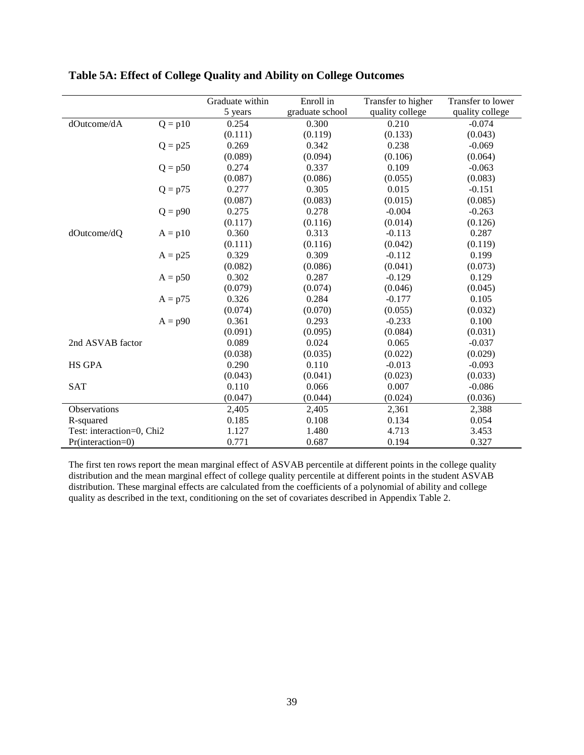|                           |           | Graduate within | Enroll in       | Transfer to higher | Transfer to lower |
|---------------------------|-----------|-----------------|-----------------|--------------------|-------------------|
|                           |           | 5 years         | graduate school | quality college    | quality college   |
| dOutcome/dA               | $Q = p10$ | 0.254           | 0.300           | 0.210              | $-0.074$          |
|                           |           | (0.111)         | (0.119)         | (0.133)            | (0.043)           |
|                           | $Q = p25$ | 0.269           | 0.342           | 0.238              | $-0.069$          |
|                           |           | (0.089)         | (0.094)         | (0.106)            | (0.064)           |
|                           | $Q = p50$ | 0.274           | 0.337           | 0.109              | $-0.063$          |
|                           |           | (0.087)         | (0.086)         | (0.055)            | (0.083)           |
|                           | $Q = p75$ | 0.277           | 0.305           | 0.015              | $-0.151$          |
|                           |           | (0.087)         | (0.083)         | (0.015)            | (0.085)           |
|                           | $Q = p90$ | 0.275           | 0.278           | $-0.004$           | $-0.263$          |
|                           |           | (0.117)         | (0.116)         | (0.014)            | (0.126)           |
| dOutcome/dQ               | $A = p10$ | 0.360           | 0.313           | $-0.113$           | 0.287             |
|                           |           | (0.111)         | (0.116)         | (0.042)            | (0.119)           |
|                           | $A = p25$ | 0.329           | 0.309           | $-0.112$           | 0.199             |
|                           |           | (0.082)         | (0.086)         | (0.041)            | (0.073)           |
|                           | $A = p50$ | 0.302           | 0.287           | $-0.129$           | 0.129             |
|                           |           | (0.079)         | (0.074)         | (0.046)            | (0.045)           |
|                           | $A = p75$ | 0.326           | 0.284           | $-0.177$           | 0.105             |
|                           |           | (0.074)         | (0.070)         | (0.055)            | (0.032)           |
|                           | $A = p90$ | 0.361           | 0.293           | $-0.233$           | 0.100             |
|                           |           | (0.091)         | (0.095)         | (0.084)            | (0.031)           |
| 2nd ASVAB factor          |           | 0.089           | 0.024           | 0.065              | $-0.037$          |
|                           |           | (0.038)         | (0.035)         | (0.022)            | (0.029)           |
| <b>HS GPA</b>             |           | 0.290           | 0.110           | $-0.013$           | $-0.093$          |
|                           |           | (0.043)         | (0.041)         | (0.023)            | (0.033)           |
| <b>SAT</b>                |           | 0.110           | 0.066           | 0.007              | $-0.086$          |
|                           |           | (0.047)         | (0.044)         | (0.024)            | (0.036)           |
| Observations              |           | 2,405           | 2,405           | 2,361              | 2,388             |
| R-squared                 |           | 0.185           | 0.108           | 0.134              | 0.054             |
| Test: interaction=0, Chi2 |           | 1.127           | 1.480           | 4.713              | 3.453             |
| $Pr(interator = 0)$       |           | 0.771           | 0.687           | 0.194              | 0.327             |

## **Table 5A: Effect of College Quality and Ability on College Outcomes**

The first ten rows report the mean marginal effect of ASVAB percentile at different points in the college quality distribution and the mean marginal effect of college quality percentile at different points in the student ASVAB distribution. These marginal effects are calculated from the coefficients of a polynomial of ability and college quality as described in the text, conditioning on the set of covariates described in Appendix Table 2.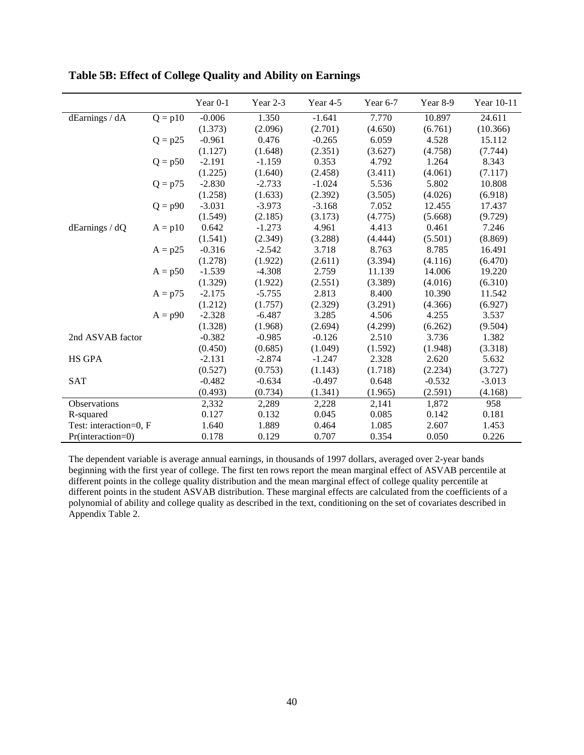|                        |           | Year 0-1 | Year 2-3 | Year 4-5 | Year 6-7 | Year 8-9 | Year 10-11 |
|------------------------|-----------|----------|----------|----------|----------|----------|------------|
| dEarnings / dA         | $Q = p10$ | $-0.006$ | 1.350    | $-1.641$ | 7.770    | 10.897   | 24.611     |
|                        |           | (1.373)  | (2.096)  | (2.701)  | (4.650)  | (6.761)  | (10.366)   |
|                        | $Q = p25$ | $-0.961$ | 0.476    | $-0.265$ | 6.059    | 4.528    | 15.112     |
|                        |           | (1.127)  | (1.648)  | (2.351)  | (3.627)  | (4.758)  | (7.744)    |
|                        | $Q = p50$ | $-2.191$ | $-1.159$ | 0.353    | 4.792    | 1.264    | 8.343      |
|                        |           | (1.225)  | (1.640)  | (2.458)  | (3.411)  | (4.061)  | (7.117)    |
|                        | $Q = p75$ | $-2.830$ | $-2.733$ | $-1.024$ | 5.536    | 5.802    | 10.808     |
|                        |           | (1.258)  | (1.633)  | (2.392)  | (3.505)  | (4.026)  | (6.918)    |
|                        | $Q = p90$ | $-3.031$ | $-3.973$ | $-3.168$ | 7.052    | 12.455   | 17.437     |
|                        |           | (1.549)  | (2.185)  | (3.173)  | (4.775)  | (5.668)  | (9.729)    |
| $d\text{Earnings}/dQ$  | $A = p10$ | 0.642    | $-1.273$ | 4.961    | 4.413    | 0.461    | 7.246      |
|                        |           | (1.541)  | (2.349)  | (3.288)  | (4.444)  | (5.501)  | (8.869)    |
|                        | $A = p25$ | $-0.316$ | $-2.542$ | 3.718    | 8.763    | 8.785    | 16.491     |
|                        |           | (1.278)  | (1.922)  | (2.611)  | (3.394)  | (4.116)  | (6.470)    |
|                        | $A = p50$ | $-1.539$ | $-4.308$ | 2.759    | 11.139   | 14.006   | 19.220     |
|                        |           | (1.329)  | (1.922)  | (2.551)  | (3.389)  | (4.016)  | (6.310)    |
|                        | $A = p75$ | $-2.175$ | $-5.755$ | 2.813    | 8.400    | 10.390   | 11.542     |
|                        |           | (1.212)  | (1.757)  | (2.329)  | (3.291)  | (4.366)  | (6.927)    |
|                        | $A = p90$ | $-2.328$ | $-6.487$ | 3.285    | 4.506    | 4.255    | 3.537      |
|                        |           | (1.328)  | (1.968)  | (2.694)  | (4.299)  | (6.262)  | (9.504)    |
| 2nd ASVAB factor       |           | $-0.382$ | $-0.985$ | $-0.126$ | 2.510    | 3.736    | 1.382      |
|                        |           | (0.450)  | (0.685)  | (1.049)  | (1.592)  | (1.948)  | (3.318)    |
| <b>HS GPA</b>          |           | $-2.131$ | $-2.874$ | $-1.247$ | 2.328    | 2.620    | 5.632      |
|                        |           | (0.527)  | (0.753)  | (1.143)  | (1.718)  | (2.234)  | (3.727)    |
| <b>SAT</b>             |           | $-0.482$ | $-0.634$ | $-0.497$ | 0.648    | $-0.532$ | $-3.013$   |
|                        |           | (0.493)  | (0.734)  | (1.341)  | (1.965)  | (2.591)  | (4.168)    |
| Observations           |           | 2,332    | 2,289    | 2,228    | 2,141    | 1,872    | 958        |
| R-squared              |           | 0.127    | 0.132    | 0.045    | 0.085    | 0.142    | 0.181      |
| Test: interaction=0, F |           | 1.640    | 1.889    | 0.464    | 1.085    | 2.607    | 1.453      |
| $Pr(interator=0)$      |           | 0.178    | 0.129    | 0.707    | 0.354    | 0.050    | 0.226      |

**Table 5B: Effect of College Quality and Ability on Earnings** 

The dependent variable is average annual earnings, in thousands of 1997 dollars, averaged over 2-year bands beginning with the first year of college. The first ten rows report the mean marginal effect of ASVAB percentile at different points in the college quality distribution and the mean marginal effect of college quality percentile at different points in the student ASVAB distribution. These marginal effects are calculated from the coefficients of a polynomial of ability and college quality as described in the text, conditioning on the set of covariates described in Appendix Table 2.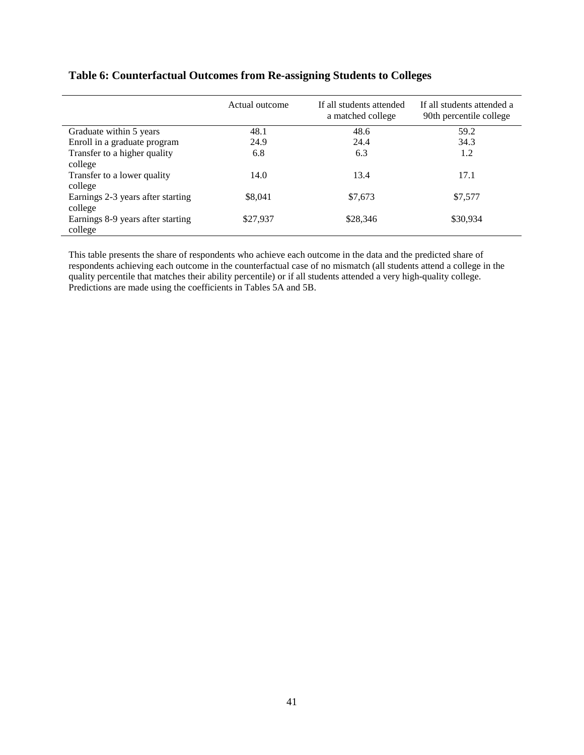|                                              | Actual outcome | If all students attended<br>a matched college | If all students attended a<br>90th percentile college |
|----------------------------------------------|----------------|-----------------------------------------------|-------------------------------------------------------|
| Graduate within 5 years                      | 48.1           | 48.6                                          | 59.2                                                  |
| Enroll in a graduate program                 | 24.9           | 24.4                                          | 34.3                                                  |
| Transfer to a higher quality                 | 6.8            | 6.3                                           | 1.2                                                   |
| college                                      |                |                                               |                                                       |
| Transfer to a lower quality<br>college       | 14.0           | 13.4                                          | 17.1                                                  |
| Earnings 2-3 years after starting<br>college | \$8,041        | \$7,673                                       | \$7,577                                               |
| Earnings 8-9 years after starting<br>college | \$27,937       | \$28,346                                      | \$30,934                                              |

## **Table 6: Counterfactual Outcomes from Re-assigning Students to Colleges**

This table presents the share of respondents who achieve each outcome in the data and the predicted share of respondents achieving each outcome in the counterfactual case of no mismatch (all students attend a college in the quality percentile that matches their ability percentile) or if all students attended a very high-quality college. Predictions are made using the coefficients in Tables 5A and 5B.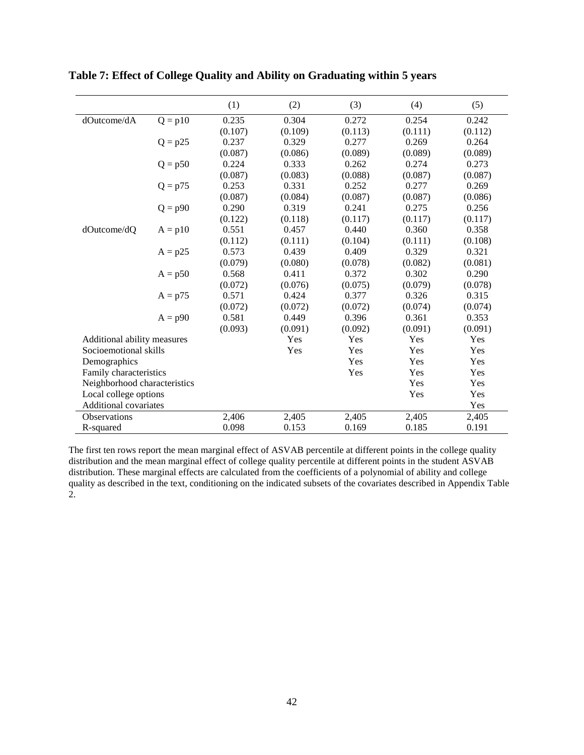|                              |           | (1)     | (2)     | (3)     | (4)     | (5)     |
|------------------------------|-----------|---------|---------|---------|---------|---------|
| dOutcome/dA                  | $Q = p10$ | 0.235   | 0.304   | 0.272   | 0.254   | 0.242   |
|                              |           | (0.107) | (0.109) | (0.113) | (0.111) | (0.112) |
|                              | $Q = p25$ | 0.237   | 0.329   | 0.277   | 0.269   | 0.264   |
|                              |           | (0.087) | (0.086) | (0.089) | (0.089) | (0.089) |
|                              | $Q = p50$ | 0.224   | 0.333   | 0.262   | 0.274   | 0.273   |
|                              |           | (0.087) | (0.083) | (0.088) | (0.087) | (0.087) |
|                              | $Q = p75$ | 0.253   | 0.331   | 0.252   | 0.277   | 0.269   |
|                              |           | (0.087) | (0.084) | (0.087) | (0.087) | (0.086) |
|                              | $Q = p90$ | 0.290   | 0.319   | 0.241   | 0.275   | 0.256   |
|                              |           | (0.122) | (0.118) | (0.117) | (0.117) | (0.117) |
| dOutcome/dQ                  | $A = p10$ | 0.551   | 0.457   | 0.440   | 0.360   | 0.358   |
|                              |           | (0.112) | (0.111) | (0.104) | (0.111) | (0.108) |
|                              | $A = p25$ | 0.573   | 0.439   | 0.409   | 0.329   | 0.321   |
|                              |           | (0.079) | (0.080) | (0.078) | (0.082) | (0.081) |
|                              | $A = p50$ | 0.568   | 0.411   | 0.372   | 0.302   | 0.290   |
|                              |           | (0.072) | (0.076) | (0.075) | (0.079) | (0.078) |
|                              | $A = p75$ | 0.571   | 0.424   | 0.377   | 0.326   | 0.315   |
|                              |           | (0.072) | (0.072) | (0.072) | (0.074) | (0.074) |
|                              | $A = p90$ | 0.581   | 0.449   | 0.396   | 0.361   | 0.353   |
|                              |           | (0.093) | (0.091) | (0.092) | (0.091) | (0.091) |
| Additional ability measures  |           |         | Yes     | Yes     | Yes     | Yes     |
| Socioemotional skills        |           |         | Yes     | Yes     | Yes     | Yes     |
| Demographics                 |           |         |         | Yes     | Yes     | Yes     |
| Family characteristics       |           |         |         | Yes     | Yes     | Yes     |
| Neighborhood characteristics |           |         |         |         | Yes     | Yes     |
| Local college options        |           |         |         |         | Yes     | Yes     |
| Additional covariates        |           |         |         |         |         | Yes     |
| <b>Observations</b>          |           | 2,406   | 2,405   | 2,405   | 2,405   | 2,405   |
| R-squared                    |           | 0.098   | 0.153   | 0.169   | 0.185   | 0.191   |

**Table 7: Effect of College Quality and Ability on Graduating within 5 years**

The first ten rows report the mean marginal effect of ASVAB percentile at different points in the college quality distribution and the mean marginal effect of college quality percentile at different points in the student ASVAB distribution. These marginal effects are calculated from the coefficients of a polynomial of ability and college quality as described in the text, conditioning on the indicated subsets of the covariates described in Appendix Table 2.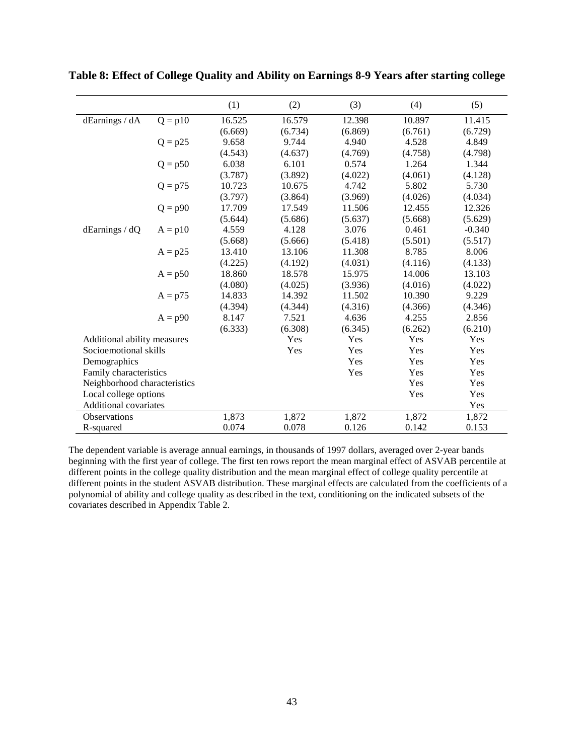|                              |                       | (1)     | (2)     | (3)     | (4)     | (5)      |
|------------------------------|-----------------------|---------|---------|---------|---------|----------|
| dEarnings / dA               | $Q = p10$             | 16.525  | 16.579  | 12.398  | 10.897  | 11.415   |
|                              |                       | (6.669) | (6.734) | (6.869) | (6.761) | (6.729)  |
|                              | $Q = p25$             | 9.658   | 9.744   | 4.940   | 4.528   | 4.849    |
|                              |                       | (4.543) | (4.637) | (4.769) | (4.758) | (4.798)  |
|                              | $Q = p50$             | 6.038   | 6.101   | 0.574   | 1.264   | 1.344    |
|                              |                       | (3.787) | (3.892) | (4.022) | (4.061) | (4.128)  |
|                              | $Q = p75$             | 10.723  | 10.675  | 4.742   | 5.802   | 5.730    |
|                              |                       | (3.797) | (3.864) | (3.969) | (4.026) | (4.034)  |
|                              | $Q = p90$             | 17.709  | 17.549  | 11.506  | 12.455  | 12.326   |
|                              |                       | (5.644) | (5.686) | (5.637) | (5.668) | (5.629)  |
| dEarnings / dQ               | $A = p10$             | 4.559   | 4.128   | 3.076   | 0.461   | $-0.340$ |
|                              |                       | (5.668) | (5.666) | (5.418) | (5.501) | (5.517)  |
|                              | $A = p25$             | 13.410  | 13.106  | 11.308  | 8.785   | 8.006    |
|                              |                       | (4.225) | (4.192) | (4.031) | (4.116) | (4.133)  |
|                              | $A = p50$             | 18.860  | 18.578  | 15.975  | 14.006  | 13.103   |
|                              |                       | (4.080) | (4.025) | (3.936) | (4.016) | (4.022)  |
|                              | $A = p75$             | 14.833  | 14.392  | 11.502  | 10.390  | 9.229    |
|                              |                       | (4.394) | (4.344) | (4.316) | (4.366) | (4.346)  |
|                              | $A = p90$             | 8.147   | 7.521   | 4.636   | 4.255   | 2.856    |
|                              |                       | (6.333) | (6.308) | (6.345) | (6.262) | (6.210)  |
| Additional ability measures  |                       |         | Yes     | Yes     | Yes     | Yes      |
| Socioemotional skills        |                       |         | Yes     | Yes     | Yes     | Yes      |
| Demographics                 |                       |         |         | Yes     | Yes     | Yes      |
| Family characteristics       |                       |         |         | Yes     | Yes     | Yes      |
| Neighborhood characteristics |                       |         |         |         | Yes     | Yes      |
|                              | Local college options |         |         |         | Yes     | Yes      |
| Additional covariates        |                       |         |         |         |         | Yes      |
| <b>Observations</b>          |                       | 1,873   | 1,872   | 1,872   | 1,872   | 1,872    |
| R-squared                    |                       | 0.074   | 0.078   | 0.126   | 0.142   | 0.153    |

**Table 8: Effect of College Quality and Ability on Earnings 8-9 Years after starting college**

The dependent variable is average annual earnings, in thousands of 1997 dollars, averaged over 2-year bands beginning with the first year of college. The first ten rows report the mean marginal effect of ASVAB percentile at different points in the college quality distribution and the mean marginal effect of college quality percentile at different points in the student ASVAB distribution. These marginal effects are calculated from the coefficients of a polynomial of ability and college quality as described in the text, conditioning on the indicated subsets of the covariates described in Appendix Table 2.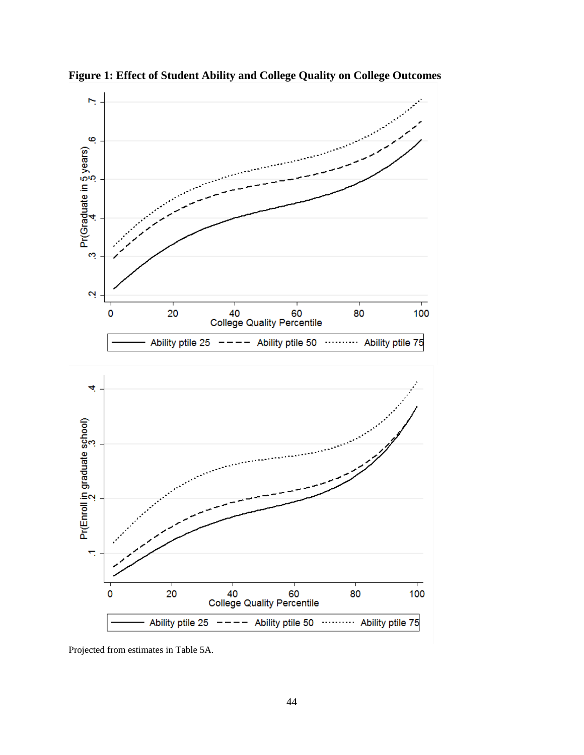

**Figure 1: Effect of Student Ability and College Quality on College Outcomes**

Projected from estimates in Table 5A.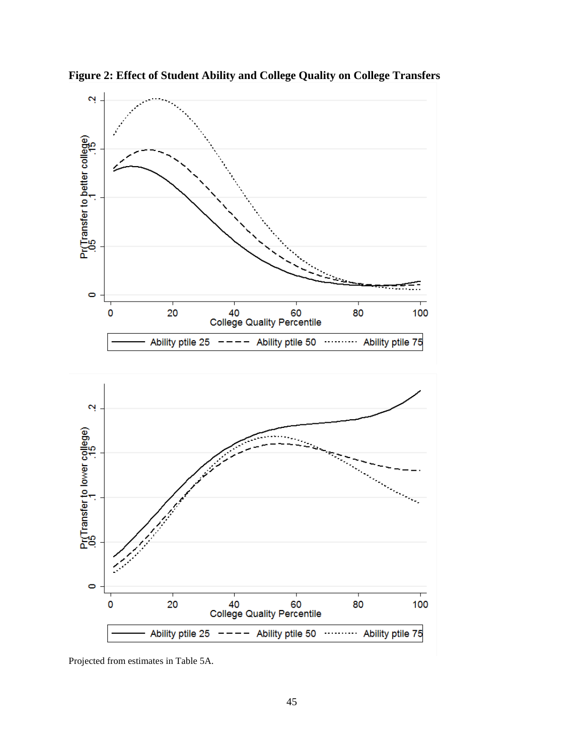

**Figure 2: Effect of Student Ability and College Quality on College Transfers**

Projected from estimates in Table 5A.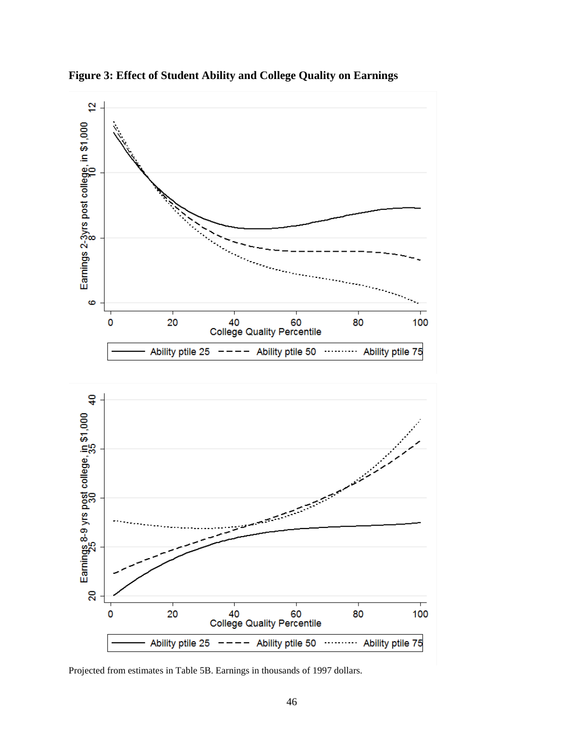

**Figure 3: Effect of Student Ability and College Quality on Earnings**

Projected from estimates in Table 5B. Earnings in thousands of 1997 dollars.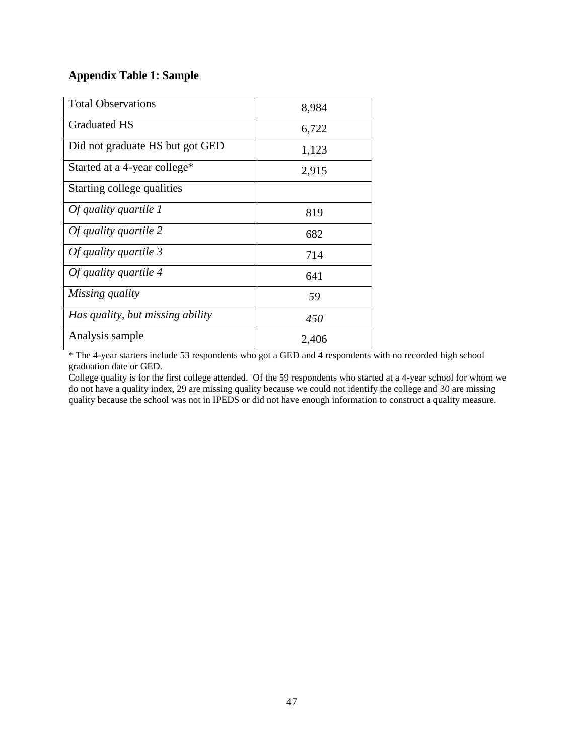## **Appendix Table 1: Sample**

| <b>Total Observations</b>        | 8,984 |
|----------------------------------|-------|
| <b>Graduated HS</b>              | 6,722 |
| Did not graduate HS but got GED  | 1,123 |
| Started at a 4-year college*     | 2,915 |
| Starting college qualities       |       |
| Of quality quartile 1            | 819   |
| Of quality quartile 2            | 682   |
| Of quality quartile 3            | 714   |
| Of quality quartile 4            | 641   |
| Missing quality                  | 59    |
| Has quality, but missing ability | 450   |
| Analysis sample                  | 2,406 |

\* The 4-year starters include 53 respondents who got a GED and 4 respondents with no recorded high school graduation date or GED.

College quality is for the first college attended. Of the 59 respondents who started at a 4-year school for whom we do not have a quality index, 29 are missing quality because we could not identify the college and 30 are missing quality because the school was not in IPEDS or did not have enough information to construct a quality measure.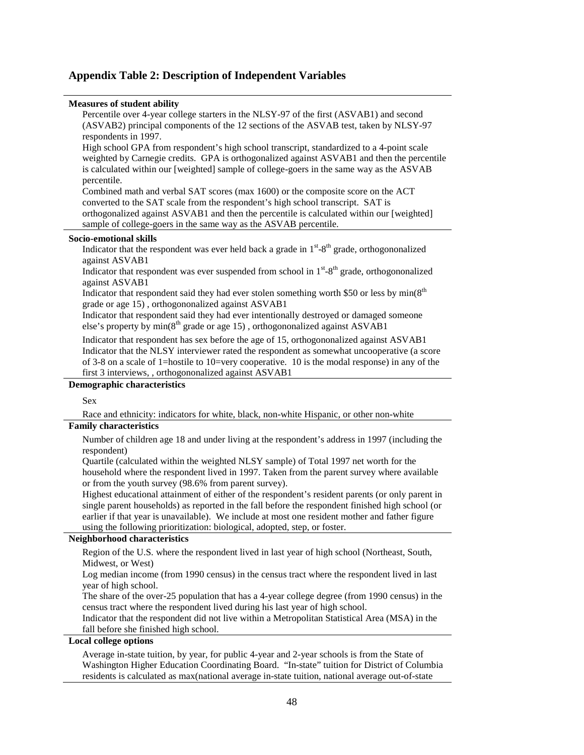#### **Appendix Table 2: Description of Independent Variables**

#### **Measures of student ability**

Percentile over 4-year college starters in the NLSY-97 of the first (ASVAB1) and second (ASVAB2) principal components of the 12 sections of the ASVAB test, taken by NLSY-97 respondents in 1997. High school GPA from respondent's high school transcript, standardized to a 4-point scale weighted by Carnegie credits. GPA is orthogonalized against ASVAB1 and then the percentile

is calculated within our [weighted] sample of college-goers in the same way as the ASVAB percentile.

Combined math and verbal SAT scores (max 1600) or the composite score on the ACT converted to the SAT scale from the respondent's high school transcript. SAT is orthogonalized against ASVAB1 and then the percentile is calculated within our [weighted] sample of college-goers in the same way as the ASVAB percentile.

#### **Socio-emotional skills**

Indicator that the respondent was ever held back a grade in  $1<sup>st</sup> - 8<sup>th</sup>$  grade, orthogononalized against ASVAB1

Indicator that respondent was ever suspended from school in  $1<sup>st</sup> - 8<sup>th</sup>$  grade, orthogononalized against ASVAB1

Indicator that respondent said they had ever stolen something worth \$50 or less by  $min(8<sup>th</sup>$ grade or age 15) , orthogononalized against ASVAB1

Indicator that respondent said they had ever intentionally destroyed or damaged someone else's property by  $min(8<sup>th</sup> graded)$  grade or age 15), orthogononalized against ASVAB1

Indicator that respondent has sex before the age of 15, orthogononalized against ASVAB1 Indicator that the NLSY interviewer rated the respondent as somewhat uncooperative (a score of 3-8 on a scale of 1=hostile to 10=very cooperative. 10 is the modal response) in any of the first 3 interviews, , orthogononalized against ASVAB1

#### **Demographic characteristics**

Sex

Race and ethnicity: indicators for white, black, non-white Hispanic, or other non-white

#### **Family characteristics**

Number of children age 18 and under living at the respondent's address in 1997 (including the respondent)

Quartile (calculated within the weighted NLSY sample) of Total 1997 net worth for the household where the respondent lived in 1997. Taken from the parent survey where available or from the youth survey (98.6% from parent survey).

Highest educational attainment of either of the respondent's resident parents (or only parent in single parent households) as reported in the fall before the respondent finished high school (or earlier if that year is unavailable). We include at most one resident mother and father figure using the following prioritization: biological, adopted, step, or foster.

#### **Neighborhood characteristics**

Region of the U.S. where the respondent lived in last year of high school (Northeast, South, Midwest, or West)

Log median income (from 1990 census) in the census tract where the respondent lived in last year of high school.

The share of the over-25 population that has a 4-year college degree (from 1990 census) in the census tract where the respondent lived during his last year of high school.

Indicator that the respondent did not live within a Metropolitan Statistical Area (MSA) in the fall before she finished high school.

#### **Local college options**

Average in-state tuition, by year, for public 4-year and 2-year schools is from the State of Washington Higher Education Coordinating Board. "In-state" tuition for District of Columbia residents is calculated as max(national average in-state tuition, national average out-of-state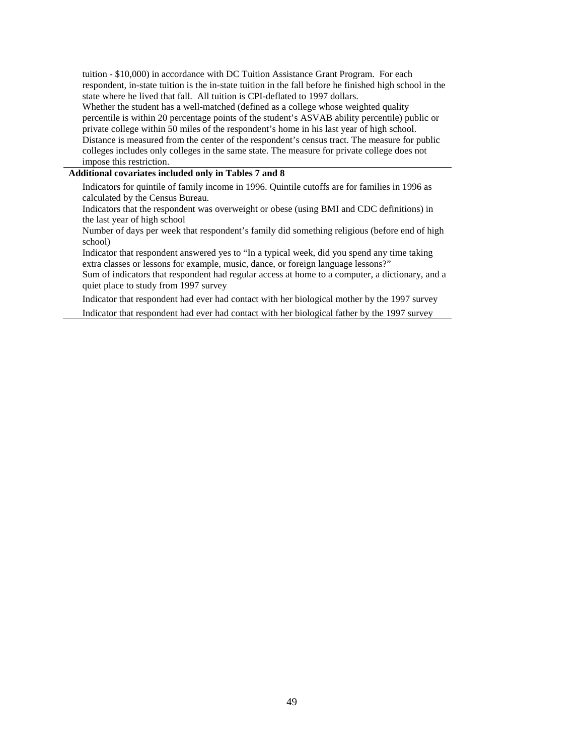tuition - \$10,000) in accordance with DC Tuition Assistance Grant Program. For each respondent, in-state tuition is the in-state tuition in the fall before he finished high school in the state where he lived that fall. All tuition is CPI-deflated to 1997 dollars.

Whether the student has a well-matched (defined as a college whose weighted quality percentile is within 20 percentage points of the student's ASVAB ability percentile) public or private college within 50 miles of the respondent's home in his last year of high school. Distance is measured from the center of the respondent's census tract. The measure for public colleges includes only colleges in the same state. The measure for private college does not impose this restriction.

#### **Additional covariates included only in Tables 7 and 8**

Indicators for quintile of family income in 1996. Quintile cutoffs are for families in 1996 as calculated by the Census Bureau.

Indicators that the respondent was overweight or obese (using BMI and CDC definitions) in the last year of high school

Number of days per week that respondent's family did something religious (before end of high school)

Indicator that respondent answered yes to "In a typical week, did you spend any time taking extra classes or lessons for example, music, dance, or foreign language lessons?"

Sum of indicators that respondent had regular access at home to a computer, a dictionary, and a quiet place to study from 1997 survey

Indicator that respondent had ever had contact with her biological mother by the 1997 survey

Indicator that respondent had ever had contact with her biological father by the 1997 survey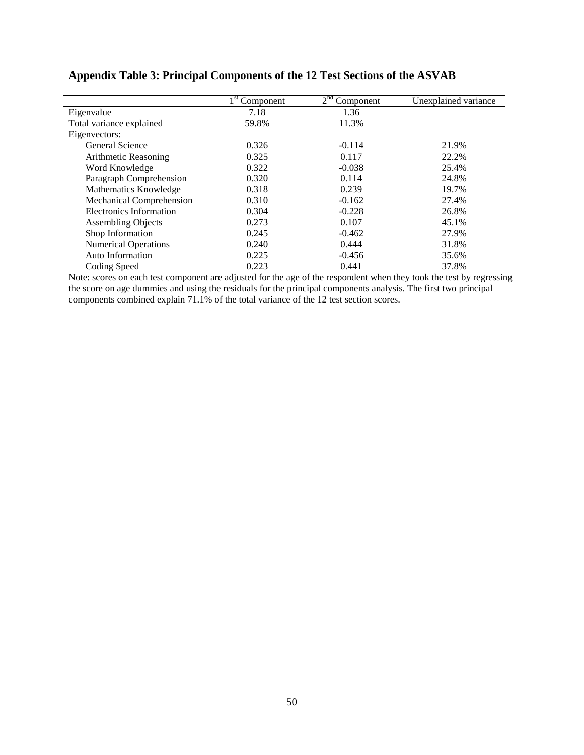|                             | Component | 2 <sup>nd</sup><br>Component | Unexplained variance |
|-----------------------------|-----------|------------------------------|----------------------|
| Eigenvalue                  | 7.18      | 1.36                         |                      |
| Total variance explained    | 59.8%     | 11.3%                        |                      |
| Eigenvectors:               |           |                              |                      |
| General Science             | 0.326     | $-0.114$                     | 21.9%                |
| Arithmetic Reasoning        | 0.325     | 0.117                        | 22.2%                |
| Word Knowledge              | 0.322     | $-0.038$                     | 25.4%                |
| Paragraph Comprehension     | 0.320     | 0.114                        | 24.8%                |
| Mathematics Knowledge       | 0.318     | 0.239                        | 19.7%                |
| Mechanical Comprehension    | 0.310     | $-0.162$                     | 27.4%                |
| Electronics Information     | 0.304     | $-0.228$                     | 26.8%                |
| <b>Assembling Objects</b>   | 0.273     | 0.107                        | 45.1%                |
| Shop Information            | 0.245     | $-0.462$                     | 27.9%                |
| <b>Numerical Operations</b> | 0.240     | 0.444                        | 31.8%                |
| Auto Information            | 0.225     | $-0.456$                     | 35.6%                |
| Coding Speed                | 0.223     | 0.441                        | 37.8%                |

## **Appendix Table 3: Principal Components of the 12 Test Sections of the ASVAB**

Note: scores on each test component are adjusted for the age of the respondent when they took the test by regressing the score on age dummies and using the residuals for the principal components analysis. The first two principal components combined explain 71.1% of the total variance of the 12 test section scores.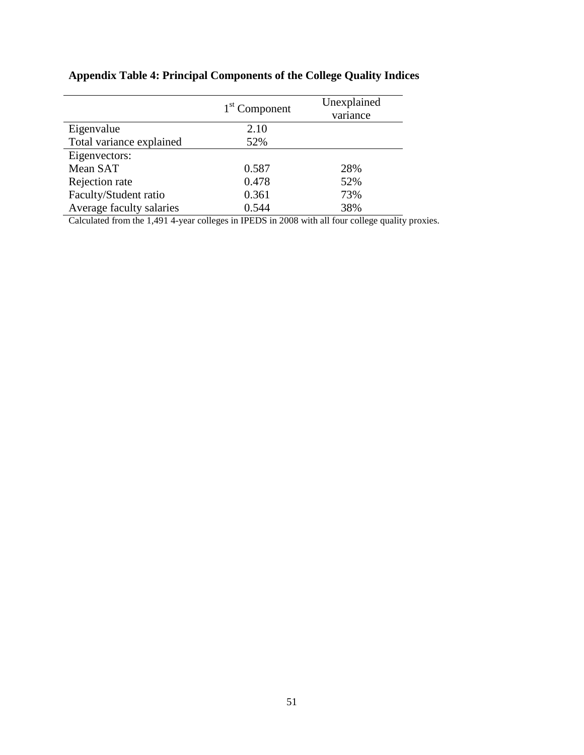## **Appendix Table 4: Principal Components of the College Quality Indices**

|                          | $1st$ Component | Unexplained<br>variance |  |
|--------------------------|-----------------|-------------------------|--|
| Eigenvalue               | 2.10            |                         |  |
| Total variance explained | 52%             |                         |  |
| Eigenvectors:            |                 |                         |  |
| Mean SAT                 | 0.587           | 28%                     |  |
| Rejection rate           | 0.478           | 52%                     |  |
| Faculty/Student ratio    | 0.361           | 73%                     |  |
| Average faculty salaries | 0.544           | 38%                     |  |

Calculated from the 1,491 4-year colleges in IPEDS in 2008 with all four college quality proxies.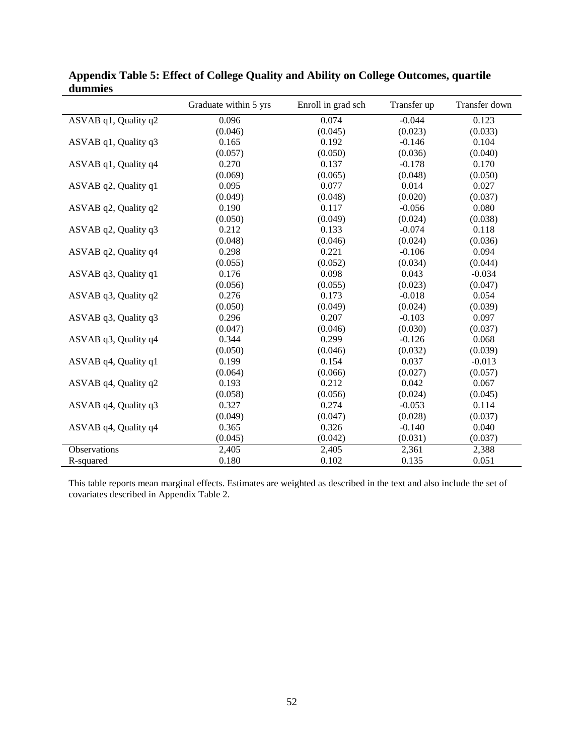|                      | Graduate within 5 yrs | Enroll in grad sch | Transfer up | Transfer down |
|----------------------|-----------------------|--------------------|-------------|---------------|
| ASVAB q1, Quality q2 | 0.096                 | 0.074              | $-0.044$    | 0.123         |
|                      | (0.046)               | (0.045)            | (0.023)     | (0.033)       |
| ASVAB q1, Quality q3 | 0.165                 | 0.192              | $-0.146$    | 0.104         |
|                      | (0.057)               | (0.050)            | (0.036)     | (0.040)       |
| ASVAB q1, Quality q4 | 0.270                 | 0.137              | $-0.178$    | 0.170         |
|                      | (0.069)               | (0.065)            | (0.048)     | (0.050)       |
| ASVAB q2, Quality q1 | 0.095                 | 0.077              | 0.014       | 0.027         |
|                      | (0.049)               | (0.048)            | (0.020)     | (0.037)       |
| ASVAB q2, Quality q2 | 0.190                 | 0.117              | $-0.056$    | 0.080         |
|                      | (0.050)               | (0.049)            | (0.024)     | (0.038)       |
| ASVAB q2, Quality q3 | 0.212                 | 0.133              | $-0.074$    | 0.118         |
|                      | (0.048)               | (0.046)            | (0.024)     | (0.036)       |
| ASVAB q2, Quality q4 | 0.298                 | 0.221              | $-0.106$    | 0.094         |
|                      | (0.055)               | (0.052)            | (0.034)     | (0.044)       |
| ASVAB q3, Quality q1 | 0.176                 | 0.098              | 0.043       | $-0.034$      |
|                      | (0.056)               | (0.055)            | (0.023)     | (0.047)       |
| ASVAB q3, Quality q2 | 0.276                 | 0.173              | $-0.018$    | 0.054         |
|                      | (0.050)               | (0.049)            | (0.024)     | (0.039)       |
| ASVAB q3, Quality q3 | 0.296                 | 0.207              | $-0.103$    | 0.097         |
|                      | (0.047)               | (0.046)            | (0.030)     | (0.037)       |
| ASVAB q3, Quality q4 | 0.344                 | 0.299              | $-0.126$    | 0.068         |
|                      | (0.050)               | (0.046)            | (0.032)     | (0.039)       |
| ASVAB q4, Quality q1 | 0.199                 | 0.154              | 0.037       | $-0.013$      |
|                      | (0.064)               | (0.066)            | (0.027)     | (0.057)       |
| ASVAB q4, Quality q2 | 0.193                 | 0.212              | 0.042       | 0.067         |
|                      | (0.058)               | (0.056)            | (0.024)     | (0.045)       |
| ASVAB q4, Quality q3 | 0.327                 | 0.274              | $-0.053$    | 0.114         |
|                      | (0.049)               | (0.047)            | (0.028)     | (0.037)       |
| ASVAB q4, Quality q4 | 0.365                 | 0.326              | $-0.140$    | 0.040         |
|                      | (0.045)               | (0.042)            | (0.031)     | (0.037)       |
| Observations         | 2,405                 | 2,405              | 2,361       | 2,388         |
| R-squared            | 0.180                 | 0.102              | 0.135       | 0.051         |

**Appendix Table 5: Effect of College Quality and Ability on College Outcomes, quartile dummies**

This table reports mean marginal effects. Estimates are weighted as described in the text and also include the set of covariates described in Appendix Table 2.